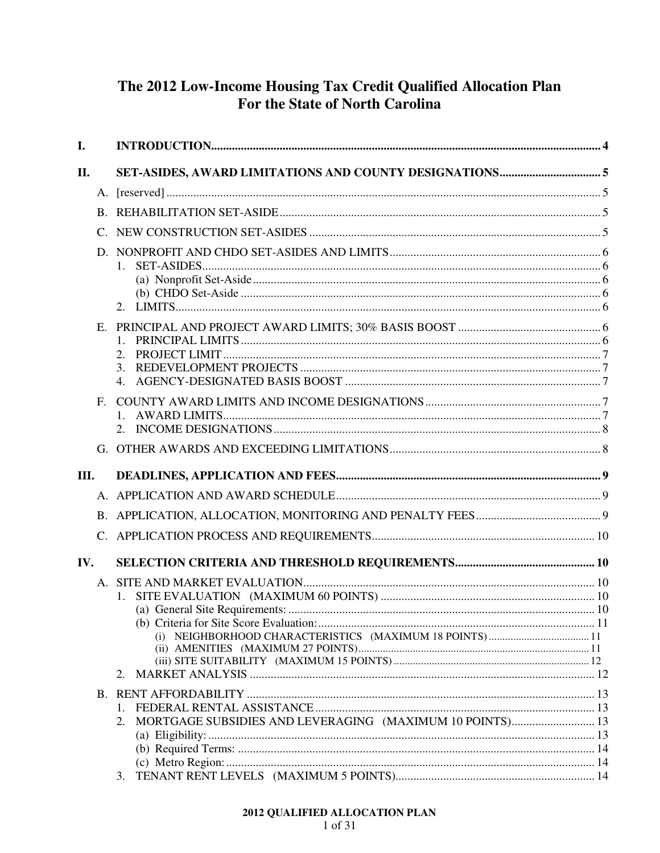## The 2012 Low-Income Housing Tax Credit Qualified Allocation Plan For the State of North Carolina

| I.   |             |                                                                |  |
|------|-------------|----------------------------------------------------------------|--|
| П.   |             |                                                                |  |
|      |             |                                                                |  |
|      |             |                                                                |  |
|      |             |                                                                |  |
|      | D.          | $1_{\cdot}$                                                    |  |
|      | Е.          | 3.<br>4.                                                       |  |
|      | $F_{\cdot}$ |                                                                |  |
|      |             |                                                                |  |
| III. |             |                                                                |  |
|      |             |                                                                |  |
|      |             |                                                                |  |
|      |             |                                                                |  |
| IV.  |             |                                                                |  |
|      |             |                                                                |  |
|      |             |                                                                |  |
|      |             |                                                                |  |
|      |             |                                                                |  |
|      |             |                                                                |  |
|      |             |                                                                |  |
|      |             | 2.                                                             |  |
|      |             |                                                                |  |
|      |             |                                                                |  |
|      |             | MORTGAGE SUBSIDIES AND LEVERAGING (MAXIMUM 10 POINTS) 13<br>2. |  |
|      |             |                                                                |  |
|      |             |                                                                |  |
|      |             | 3.                                                             |  |
|      |             |                                                                |  |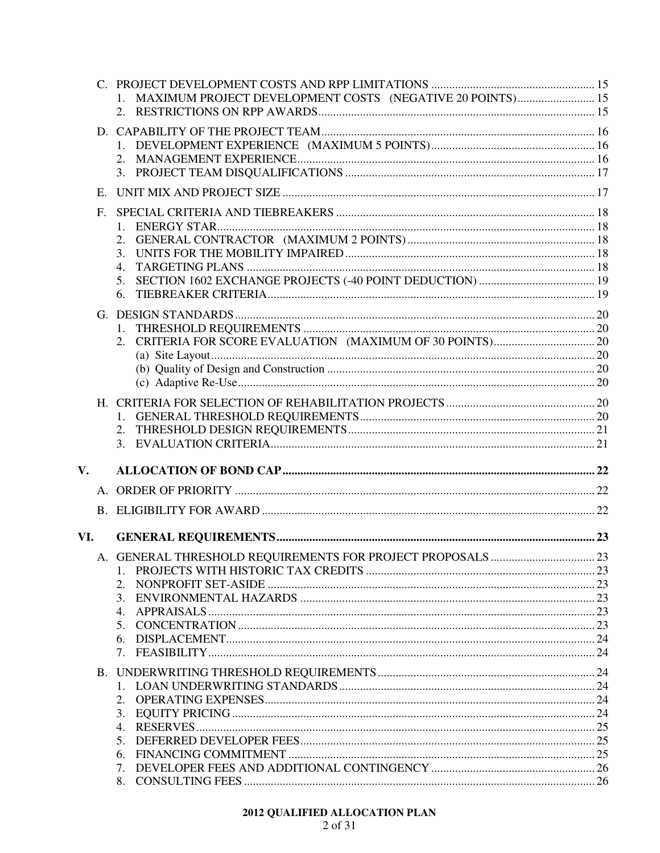|               |    | MAXIMUM PROJECT DEVELOPMENT COSTS (NEGATIVE 20 POINTS) 15 |  |
|---------------|----|-----------------------------------------------------------|--|
|               |    |                                                           |  |
|               | E. |                                                           |  |
|               | F. | 1.<br>2.<br>3.<br>4.<br>5.<br>6.                          |  |
|               |    |                                                           |  |
|               |    |                                                           |  |
| $V_{\bullet}$ |    |                                                           |  |
|               |    |                                                           |  |
|               |    |                                                           |  |
| VI.           |    |                                                           |  |
|               |    | 2.<br>3.<br>4.<br>6.<br>7.                                |  |
|               |    | 3.<br>$5_{-}$                                             |  |
|               |    | 8.                                                        |  |

# 2012 QUALIFIED ALLOCATION PLAN<br>2 of 31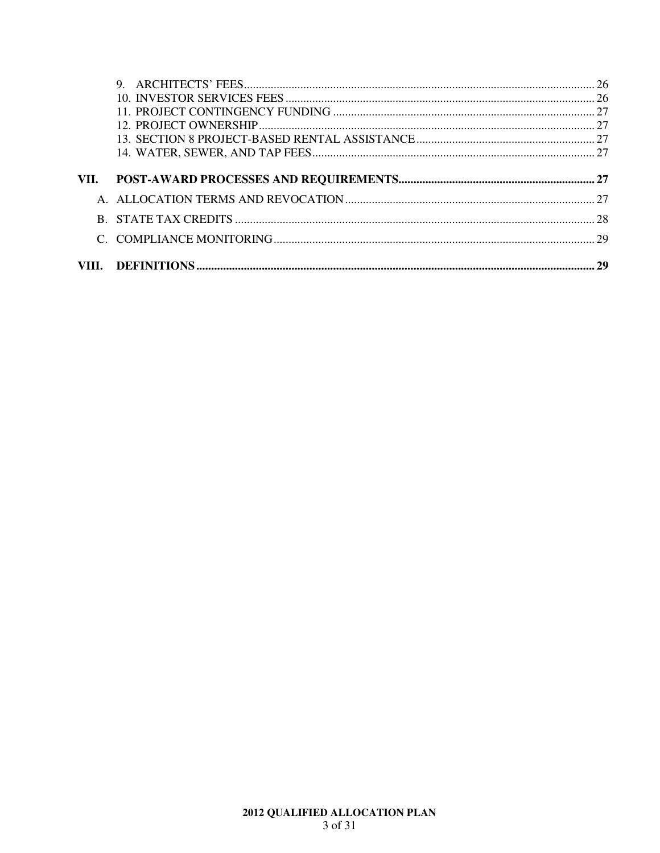| VII. |  |
|------|--|
|      |  |
|      |  |
|      |  |
|      |  |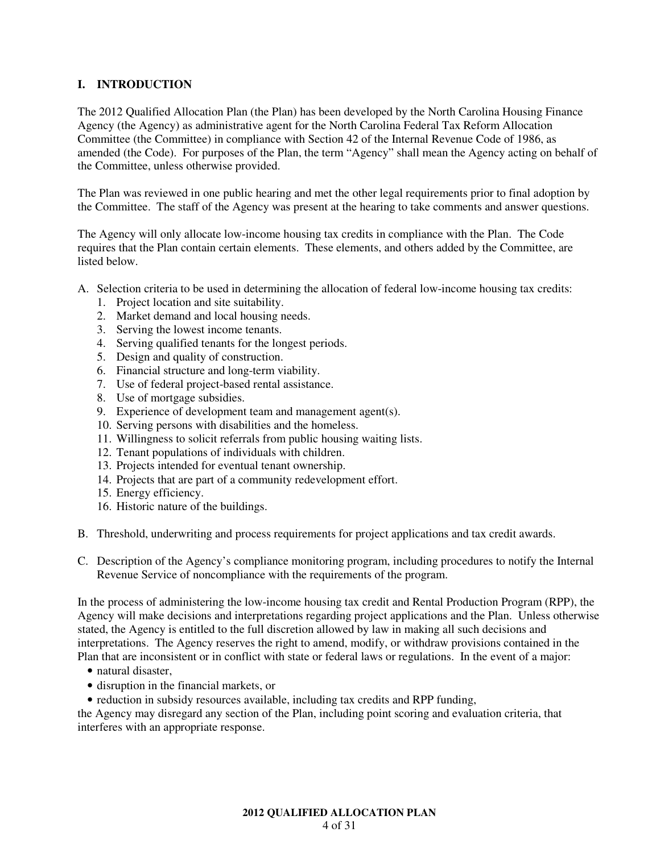## **I. INTRODUCTION**

The 2012 Qualified Allocation Plan (the Plan) has been developed by the North Carolina Housing Finance Agency (the Agency) as administrative agent for the North Carolina Federal Tax Reform Allocation Committee (the Committee) in compliance with Section 42 of the Internal Revenue Code of 1986, as amended (the Code). For purposes of the Plan, the term "Agency" shall mean the Agency acting on behalf of the Committee, unless otherwise provided.

The Plan was reviewed in one public hearing and met the other legal requirements prior to final adoption by the Committee. The staff of the Agency was present at the hearing to take comments and answer questions.

The Agency will only allocate low-income housing tax credits in compliance with the Plan. The Code requires that the Plan contain certain elements. These elements, and others added by the Committee, are listed below.

- A. Selection criteria to be used in determining the allocation of federal low-income housing tax credits:
	- 1. Project location and site suitability.
	- 2. Market demand and local housing needs.
	- 3. Serving the lowest income tenants.
	- 4. Serving qualified tenants for the longest periods.
	- 5. Design and quality of construction.
	- 6. Financial structure and long-term viability.
	- 7. Use of federal project-based rental assistance.
	- 8. Use of mortgage subsidies.
	- 9. Experience of development team and management agent(s).
	- 10. Serving persons with disabilities and the homeless.
	- 11. Willingness to solicit referrals from public housing waiting lists.
	- 12. Tenant populations of individuals with children.
	- 13. Projects intended for eventual tenant ownership.
	- 14. Projects that are part of a community redevelopment effort.
	- 15. Energy efficiency.
	- 16. Historic nature of the buildings.
- B. Threshold, underwriting and process requirements for project applications and tax credit awards.
- C. Description of the Agency's compliance monitoring program, including procedures to notify the Internal Revenue Service of noncompliance with the requirements of the program.

In the process of administering the low-income housing tax credit and Rental Production Program (RPP), the Agency will make decisions and interpretations regarding project applications and the Plan. Unless otherwise stated, the Agency is entitled to the full discretion allowed by law in making all such decisions and interpretations. The Agency reserves the right to amend, modify, or withdraw provisions contained in the Plan that are inconsistent or in conflict with state or federal laws or regulations. In the event of a major:

- natural disaster,
- disruption in the financial markets, or
- reduction in subsidy resources available, including tax credits and RPP funding,

the Agency may disregard any section of the Plan, including point scoring and evaluation criteria, that interferes with an appropriate response.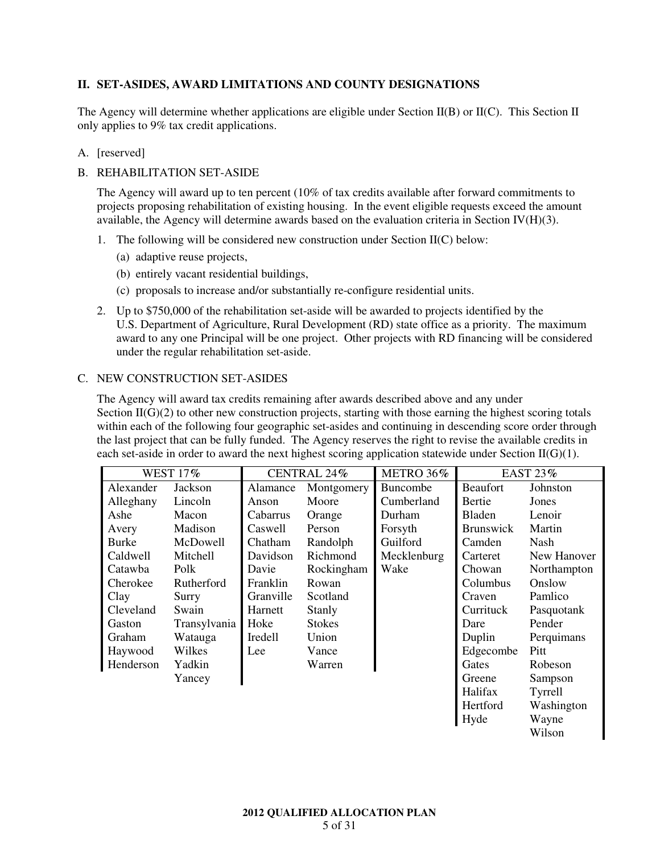## **II. SET-ASIDES, AWARD LIMITATIONS AND COUNTY DESIGNATIONS**

The Agency will determine whether applications are eligible under Section II(B) or II(C). This Section II only applies to 9% tax credit applications.

## A. [reserved]

## B. REHABILITATION SET-ASIDE

The Agency will award up to ten percent (10% of tax credits available after forward commitments to projects proposing rehabilitation of existing housing. In the event eligible requests exceed the amount available, the Agency will determine awards based on the evaluation criteria in Section IV(H)(3).

- 1. The following will be considered new construction under Section  $II(C)$  below:
	- (a) adaptive reuse projects,
	- (b) entirely vacant residential buildings,
	- (c) proposals to increase and/or substantially re-configure residential units.
- 2. Up to \$750,000 of the rehabilitation set-aside will be awarded to projects identified by the U.S. Department of Agriculture, Rural Development (RD) state office as a priority. The maximum award to any one Principal will be one project. Other projects with RD financing will be considered under the regular rehabilitation set-aside.

## C. NEW CONSTRUCTION SET-ASIDES

The Agency will award tax credits remaining after awards described above and any under Section  $II(G)(2)$  to other new construction projects, starting with those earning the highest scoring totals within each of the following four geographic set-asides and continuing in descending score order through the last project that can be fully funded. The Agency reserves the right to revise the available credits in each set-aside in order to award the next highest scoring application statewide under Section  $II(G)(1)$ .

| <b>WEST 17%</b> |              | CENTRAL 24% |               | METRO 36%   | EAST 23%         |             |
|-----------------|--------------|-------------|---------------|-------------|------------------|-------------|
| Alexander       | Jackson      | Alamance    | Montgomery    | Buncombe    | <b>Beaufort</b>  | Johnston    |
| Alleghany       | Lincoln      | Anson       | Moore         | Cumberland  | Bertie           | Jones       |
| Ashe            | Macon        | Cabarrus    | Orange        | Durham      | Bladen           | Lenoir      |
| Avery           | Madison      | Caswell     | Person        | Forsyth     | <b>Brunswick</b> | Martin      |
| Burke           | McDowell     | Chatham     | Randolph      | Guilford    | Camden           | Nash        |
| Caldwell        | Mitchell     | Davidson    | Richmond      | Mecklenburg | Carteret         | New Hanover |
| Catawba         | Polk         | Davie       | Rockingham    | Wake        | Chowan           | Northampton |
| Cherokee        | Rutherford   | Franklin    | Rowan         |             | Columbus         | Onslow      |
| Clay            | Surry        | Granville   | Scotland      |             | Craven           | Pamlico     |
| Cleveland       | Swain        | Harnett     | Stanly        |             | Currituck        | Pasquotank  |
| Gaston          | Transylvania | Hoke        | <b>Stokes</b> |             | Dare             | Pender      |
| Graham          | Watauga      | Iredell     | Union         |             | Duplin           | Perquimans  |
| Haywood         | Wilkes       | Lee         | Vance         |             | Edgecombe        | Pitt        |
| Henderson       | Yadkin       |             | Warren        |             | Gates            | Robeson     |
|                 | Yancey       |             |               |             | Greene           | Sampson     |
|                 |              |             |               |             | Halifax          | Tyrrell     |
|                 |              |             |               |             | Hertford         | Washington  |
|                 |              |             |               |             | Hyde             | Wayne       |
|                 |              |             |               |             |                  | Wilson      |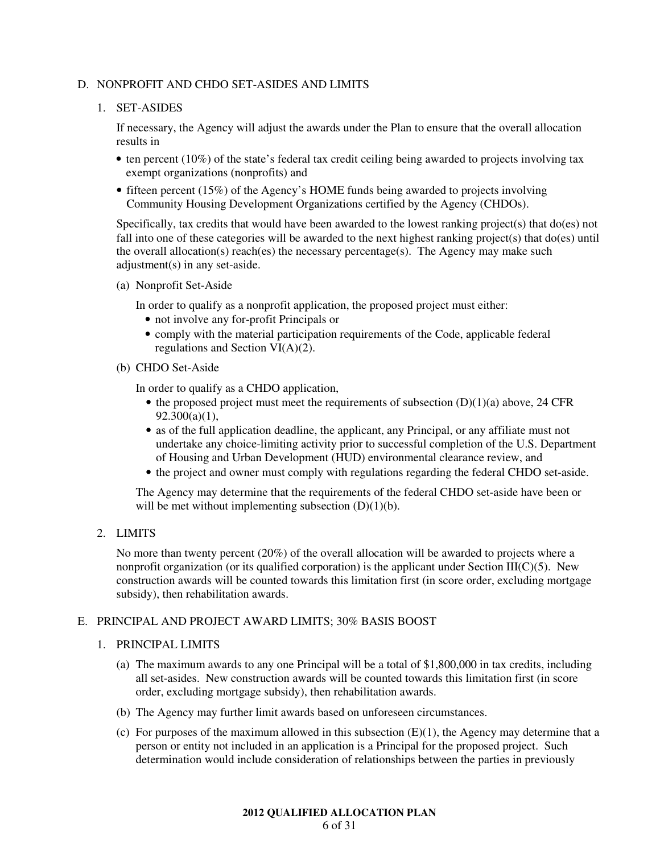## D. NONPROFIT AND CHDO SET-ASIDES AND LIMITS

## 1. SET-ASIDES

If necessary, the Agency will adjust the awards under the Plan to ensure that the overall allocation results in

- ten percent (10%) of the state's federal tax credit ceiling being awarded to projects involving tax exempt organizations (nonprofits) and
- fifteen percent (15%) of the Agency's HOME funds being awarded to projects involving Community Housing Development Organizations certified by the Agency (CHDOs).

Specifically, tax credits that would have been awarded to the lowest ranking project(s) that do(es) not fall into one of these categories will be awarded to the next highest ranking project(s) that do(es) until the overall allocation(s) reach(es) the necessary percentage(s). The Agency may make such adjustment(s) in any set-aside.

(a) Nonprofit Set-Aside

In order to qualify as a nonprofit application, the proposed project must either:

- not involve any for-profit Principals or
- comply with the material participation requirements of the Code, applicable federal regulations and Section VI(A)(2).
- (b) CHDO Set-Aside

In order to qualify as a CHDO application,

- $\bullet$  the proposed project must meet the requirements of subsection  $(D)(1)(a)$  above, 24 CFR  $92.300(a)(1)$ ,
- as of the full application deadline, the applicant, any Principal, or any affiliate must not undertake any choice-limiting activity prior to successful completion of the U.S. Department of Housing and Urban Development (HUD) environmental clearance review, and
- the project and owner must comply with regulations regarding the federal CHDO set-aside.

The Agency may determine that the requirements of the federal CHDO set-aside have been or will be met without implementing subsection  $(D)(1)(b)$ .

2. LIMITS

No more than twenty percent (20%) of the overall allocation will be awarded to projects where a nonprofit organization (or its qualified corporation) is the applicant under Section III( $C(5)$ . New construction awards will be counted towards this limitation first (in score order, excluding mortgage subsidy), then rehabilitation awards.

## E. PRINCIPAL AND PROJECT AWARD LIMITS; 30% BASIS BOOST

#### 1. PRINCIPAL LIMITS

- (a) The maximum awards to any one Principal will be a total of \$1,800,000 in tax credits, including all set-asides. New construction awards will be counted towards this limitation first (in score order, excluding mortgage subsidy), then rehabilitation awards.
- (b) The Agency may further limit awards based on unforeseen circumstances.
- (c) For purposes of the maximum allowed in this subsection  $(E)(1)$ , the Agency may determine that a person or entity not included in an application is a Principal for the proposed project. Such determination would include consideration of relationships between the parties in previously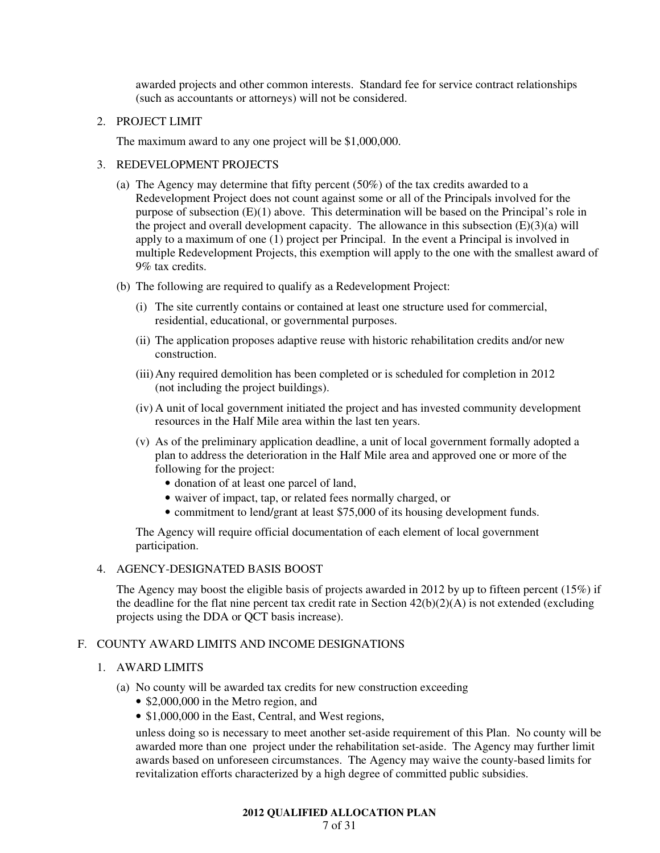awarded projects and other common interests. Standard fee for service contract relationships (such as accountants or attorneys) will not be considered.

## 2. PROJECT LIMIT

The maximum award to any one project will be \$1,000,000.

## 3. REDEVELOPMENT PROJECTS

- (a) The Agency may determine that fifty percent (50%) of the tax credits awarded to a Redevelopment Project does not count against some or all of the Principals involved for the purpose of subsection (E)(1) above. This determination will be based on the Principal's role in the project and overall development capacity. The allowance in this subsection  $(E)(3)(a)$  will apply to a maximum of one (1) project per Principal. In the event a Principal is involved in multiple Redevelopment Projects, this exemption will apply to the one with the smallest award of 9% tax credits.
- (b) The following are required to qualify as a Redevelopment Project:
	- (i) The site currently contains or contained at least one structure used for commercial, residential, educational, or governmental purposes.
	- (ii) The application proposes adaptive reuse with historic rehabilitation credits and/or new construction.
	- (iii) Any required demolition has been completed or is scheduled for completion in 2012 (not including the project buildings).
	- (iv) A unit of local government initiated the project and has invested community development resources in the Half Mile area within the last ten years.
	- (v) As of the preliminary application deadline, a unit of local government formally adopted a plan to address the deterioration in the Half Mile area and approved one or more of the following for the project:
		- donation of at least one parcel of land,
		- waiver of impact, tap, or related fees normally charged, or
		- commitment to lend/grant at least \$75,000 of its housing development funds.

The Agency will require official documentation of each element of local government participation.

#### 4. AGENCY-DESIGNATED BASIS BOOST

The Agency may boost the eligible basis of projects awarded in 2012 by up to fifteen percent (15%) if the deadline for the flat nine percent tax credit rate in Section  $42(b)(2)(A)$  is not extended (excluding projects using the DDA or QCT basis increase).

#### F. COUNTY AWARD LIMITS AND INCOME DESIGNATIONS

#### 1. AWARD LIMITS

- (a) No county will be awarded tax credits for new construction exceeding
	- \$2,000,000 in the Metro region, and
	- \$1,000,000 in the East, Central, and West regions,

unless doing so is necessary to meet another set-aside requirement of this Plan. No county will be awarded more than one project under the rehabilitation set-aside. The Agency may further limit awards based on unforeseen circumstances. The Agency may waive the county-based limits for revitalization efforts characterized by a high degree of committed public subsidies.

#### **2012 QUALIFIED ALLOCATION PLAN**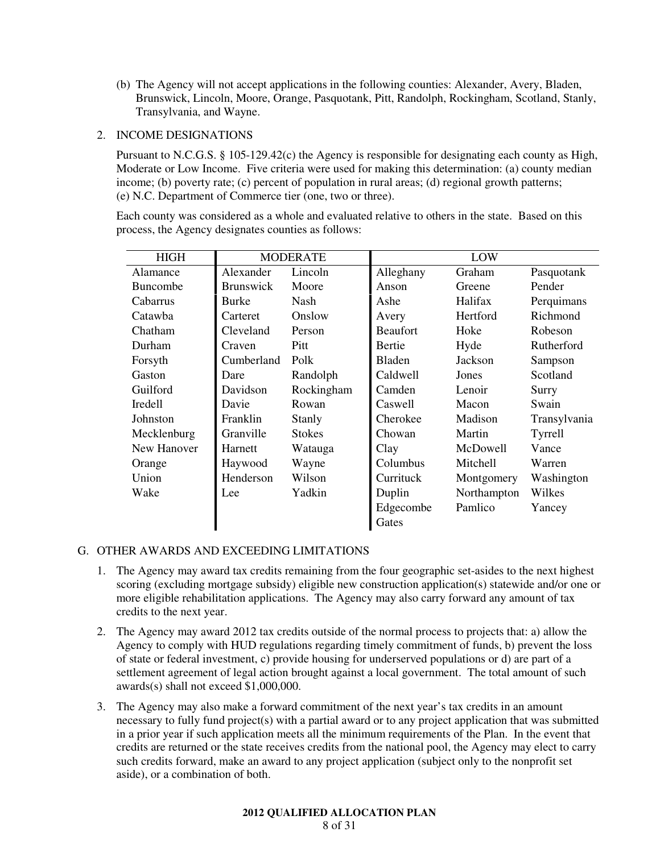(b) The Agency will not accept applications in the following counties: Alexander, Avery, Bladen, Brunswick, Lincoln, Moore, Orange, Pasquotank, Pitt, Randolph, Rockingham, Scotland, Stanly, Transylvania, and Wayne.

## 2. INCOME DESIGNATIONS

Pursuant to N.C.G.S. § 105-129.42(c) the Agency is responsible for designating each county as High, Moderate or Low Income. Five criteria were used for making this determination: (a) county median income; (b) poverty rate; (c) percent of population in rural areas; (d) regional growth patterns; (e) N.C. Department of Commerce tier (one, two or three).

Each county was considered as a whole and evaluated relative to others in the state. Based on this process, the Agency designates counties as follows:

| <b>HIGH</b><br><b>MODERATE</b> |                  |               | LOW             |                 |              |
|--------------------------------|------------------|---------------|-----------------|-----------------|--------------|
| Alamance                       | Alexander        | Lincoln       | Alleghany       | Graham          | Pasquotank   |
| <b>Buncombe</b>                | <b>Brunswick</b> | Moore         | Anson           | Greene          | Pender       |
| Cabarrus                       | Burke            | Nash          | Ashe            | Halifax         | Perquimans   |
| Catawba                        | Carteret         | Onslow        | Avery           | <b>Hertford</b> | Richmond     |
| Chatham                        | Cleveland        | Person        | <b>Beaufort</b> | Hoke            | Robeson      |
| Durham                         | Craven           | Pitt          | <b>Bertie</b>   | Hyde            | Rutherford   |
| Forsyth                        | Cumberland       | Polk          | Bladen          | Jackson         | Sampson      |
| Gaston                         | Dare             | Randolph      | Caldwell        | Jones           | Scotland     |
| Guilford                       | Davidson         | Rockingham    | Camden          | Lenoir          | Surry        |
| <b>Iredell</b>                 | Davie            | Rowan         | Caswell         | Macon           | Swain        |
| Johnston                       | Franklin         | Stanly        | Cherokee        | Madison         | Transylvania |
| Mecklenburg                    | Granville        | <b>Stokes</b> | Chowan          | Martin          | Tyrrell      |
| New Hanover                    | Harnett          | Watauga       | Clay            | McDowell        | Vance        |
| Orange                         | Haywood          | Wayne         | Columbus        | Mitchell        | Warren       |
| Union                          | Henderson        | Wilson        | Currituck       | Montgomery      | Washington   |
| Wake                           | Lee              | Yadkin        | Duplin          | Northampton     | Wilkes       |
|                                |                  |               | Edgecombe       | Pamlico         | Yancey       |
|                                |                  |               | Gates           |                 |              |

## G. OTHER AWARDS AND EXCEEDING LIMITATIONS

- 1. The Agency may award tax credits remaining from the four geographic set-asides to the next highest scoring (excluding mortgage subsidy) eligible new construction application(s) statewide and/or one or more eligible rehabilitation applications. The Agency may also carry forward any amount of tax credits to the next year.
- 2. The Agency may award 2012 tax credits outside of the normal process to projects that: a) allow the Agency to comply with HUD regulations regarding timely commitment of funds, b) prevent the loss of state or federal investment, c) provide housing for underserved populations or d) are part of a settlement agreement of legal action brought against a local government. The total amount of such awards(s) shall not exceed \$1,000,000.
- 3. The Agency may also make a forward commitment of the next year's tax credits in an amount necessary to fully fund project(s) with a partial award or to any project application that was submitted in a prior year if such application meets all the minimum requirements of the Plan. In the event that credits are returned or the state receives credits from the national pool, the Agency may elect to carry such credits forward, make an award to any project application (subject only to the nonprofit set aside), or a combination of both.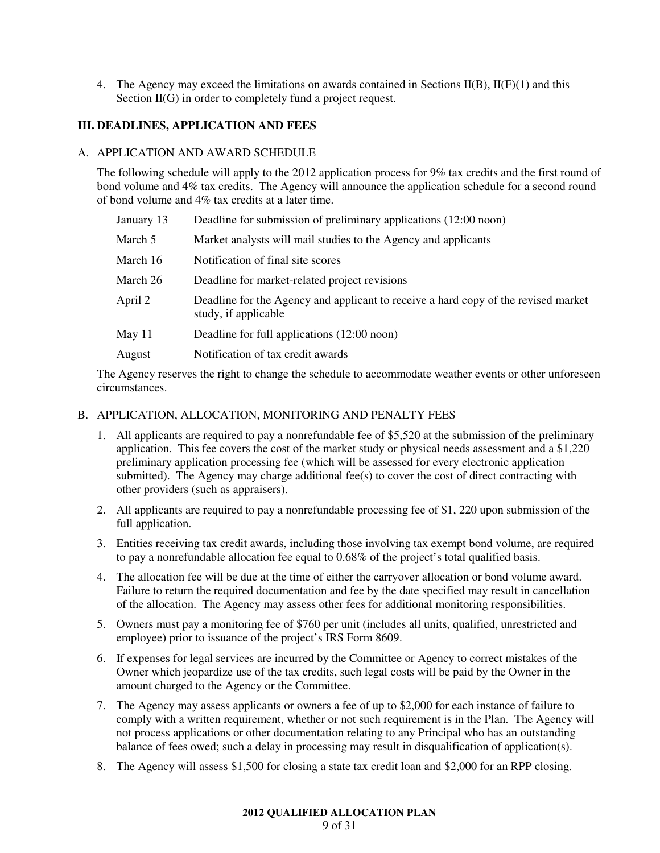4. The Agency may exceed the limitations on awards contained in Sections  $II(B)$ ,  $II(F)(1)$  and this Section II(G) in order to completely fund a project request.

## **III. DEADLINES, APPLICATION AND FEES**

#### A. APPLICATION AND AWARD SCHEDULE

The following schedule will apply to the 2012 application process for 9% tax credits and the first round of bond volume and 4% tax credits. The Agency will announce the application schedule for a second round of bond volume and 4% tax credits at a later time.

| January 13 | Deadline for submission of preliminary applications (12:00 noon)                                           |
|------------|------------------------------------------------------------------------------------------------------------|
| March 5    | Market analysts will mail studies to the Agency and applicants                                             |
| March 16   | Notification of final site scores                                                                          |
| March 26   | Deadline for market-related project revisions                                                              |
| April 2    | Deadline for the Agency and applicant to receive a hard copy of the revised market<br>study, if applicable |
| May 11     | Deadline for full applications (12:00 noon)                                                                |
| August     | Notification of tax credit awards                                                                          |

The Agency reserves the right to change the schedule to accommodate weather events or other unforeseen circumstances.

## B. APPLICATION, ALLOCATION, MONITORING AND PENALTY FEES

- 1. All applicants are required to pay a nonrefundable fee of \$5,520 at the submission of the preliminary application. This fee covers the cost of the market study or physical needs assessment and a \$1,220 preliminary application processing fee (which will be assessed for every electronic application submitted). The Agency may charge additional fee(s) to cover the cost of direct contracting with other providers (such as appraisers).
- 2. All applicants are required to pay a nonrefundable processing fee of \$1, 220 upon submission of the full application.
- 3. Entities receiving tax credit awards, including those involving tax exempt bond volume, are required to pay a nonrefundable allocation fee equal to 0.68% of the project's total qualified basis.
- 4. The allocation fee will be due at the time of either the carryover allocation or bond volume award. Failure to return the required documentation and fee by the date specified may result in cancellation of the allocation. The Agency may assess other fees for additional monitoring responsibilities.
- 5. Owners must pay a monitoring fee of \$760 per unit (includes all units, qualified, unrestricted and employee) prior to issuance of the project's IRS Form 8609.
- 6. If expenses for legal services are incurred by the Committee or Agency to correct mistakes of the Owner which jeopardize use of the tax credits, such legal costs will be paid by the Owner in the amount charged to the Agency or the Committee.
- 7. The Agency may assess applicants or owners a fee of up to \$2,000 for each instance of failure to comply with a written requirement, whether or not such requirement is in the Plan. The Agency will not process applications or other documentation relating to any Principal who has an outstanding balance of fees owed; such a delay in processing may result in disqualification of application(s).
- 8. The Agency will assess \$1,500 for closing a state tax credit loan and \$2,000 for an RPP closing.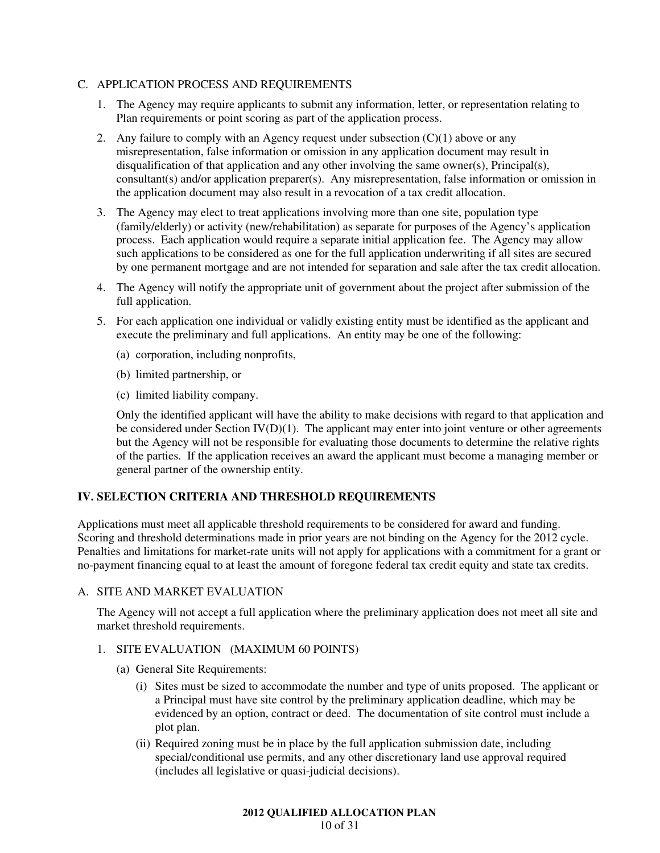## C. APPLICATION PROCESS AND REQUIREMENTS

- 1. The Agency may require applicants to submit any information, letter, or representation relating to Plan requirements or point scoring as part of the application process.
- 2. Any failure to comply with an Agency request under subsection  $(C)(1)$  above or any misrepresentation, false information or omission in any application document may result in disqualification of that application and any other involving the same owner(s), Principal(s), consultant(s) and/or application preparer(s). Any misrepresentation, false information or omission in the application document may also result in a revocation of a tax credit allocation.
- 3. The Agency may elect to treat applications involving more than one site, population type (family/elderly) or activity (new/rehabilitation) as separate for purposes of the Agency's application process. Each application would require a separate initial application fee. The Agency may allow such applications to be considered as one for the full application underwriting if all sites are secured by one permanent mortgage and are not intended for separation and sale after the tax credit allocation.
- 4. The Agency will notify the appropriate unit of government about the project after submission of the full application.
- 5. For each application one individual or validly existing entity must be identified as the applicant and execute the preliminary and full applications. An entity may be one of the following:
	- (a) corporation, including nonprofits,
	- (b) limited partnership, or
	- (c) limited liability company.

Only the identified applicant will have the ability to make decisions with regard to that application and be considered under Section  $IV(D)(1)$ . The applicant may enter into joint venture or other agreements but the Agency will not be responsible for evaluating those documents to determine the relative rights of the parties. If the application receives an award the applicant must become a managing member or general partner of the ownership entity.

## **IV. SELECTION CRITERIA AND THRESHOLD REQUIREMENTS**

Applications must meet all applicable threshold requirements to be considered for award and funding. Scoring and threshold determinations made in prior years are not binding on the Agency for the 2012 cycle. Penalties and limitations for market-rate units will not apply for applications with a commitment for a grant or no-payment financing equal to at least the amount of foregone federal tax credit equity and state tax credits.

## A. SITE AND MARKET EVALUATION

The Agency will not accept a full application where the preliminary application does not meet all site and market threshold requirements.

## 1. SITE EVALUATION (MAXIMUM 60 POINTS)

- (a) General Site Requirements:
	- (i) Sites must be sized to accommodate the number and type of units proposed. The applicant or a Principal must have site control by the preliminary application deadline, which may be evidenced by an option, contract or deed. The documentation of site control must include a plot plan.
	- (ii) Required zoning must be in place by the full application submission date, including special/conditional use permits, and any other discretionary land use approval required (includes all legislative or quasi-judicial decisions).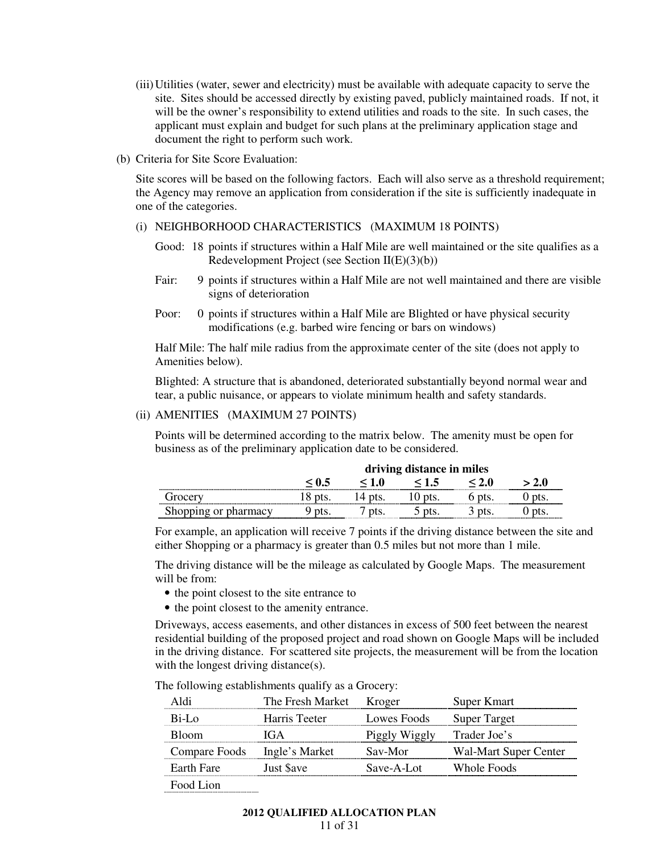- (iii) Utilities (water, sewer and electricity) must be available with adequate capacity to serve the site. Sites should be accessed directly by existing paved, publicly maintained roads. If not, it will be the owner's responsibility to extend utilities and roads to the site. In such cases, the applicant must explain and budget for such plans at the preliminary application stage and document the right to perform such work.
- (b) Criteria for Site Score Evaluation:

Site scores will be based on the following factors. Each will also serve as a threshold requirement; the Agency may remove an application from consideration if the site is sufficiently inadequate in one of the categories.

#### (i) NEIGHBORHOOD CHARACTERISTICS (MAXIMUM 18 POINTS)

- Good: 18 points if structures within a Half Mile are well maintained or the site qualifies as a Redevelopment Project (see Section II(E)(3)(b))
- Fair: 9 points if structures within a Half Mile are not well maintained and there are visible signs of deterioration
- Poor: 0 points if structures within a Half Mile are Blighted or have physical security modifications (e.g. barbed wire fencing or bars on windows)

Half Mile: The half mile radius from the approximate center of the site (does not apply to Amenities below).

Blighted: A structure that is abandoned, deteriorated substantially beyond normal wear and tear, a public nuisance, or appears to violate minimum health and safety standards.

#### (ii) AMENITIES (MAXIMUM 27 POINTS)

Points will be determined according to the matrix below. The amenity must be open for business as of the preliminary application date to be considered.

|                      | driving distance in miles |  |  |  |  |
|----------------------|---------------------------|--|--|--|--|
|                      |                           |  |  |  |  |
|                      |                           |  |  |  |  |
| Shopping or pharmacy |                           |  |  |  |  |

For example, an application will receive 7 points if the driving distance between the site and either Shopping or a pharmacy is greater than 0.5 miles but not more than 1 mile.

The driving distance will be the mileage as calculated by Google Maps. The measurement will be from:

- the point closest to the site entrance to
- the point closest to the amenity entrance.

Driveways, access easements, and other distances in excess of 500 feet between the nearest residential building of the proposed project and road shown on Google Maps will be included in the driving distance. For scattered site projects, the measurement will be from the location with the longest driving distance(s).

The following establishments qualify as a Grocery:

| Aldı                         | The Fresh Market                    | Kroger        | Super Kmart           |
|------------------------------|-------------------------------------|---------------|-----------------------|
| Bi-Lo                        | Harris Teeter                       | Lowes Foods   | <b>Super Target</b>   |
| <b>Bloom</b>                 | $\mathsf{I}(\mathsf{t} \mathsf{A})$ | Piggly Wiggly | Trader Joe's          |
| Compare Foods Ingle's Market |                                     | Sav-Mor       | Wal-Mart Super Center |
| Earth Fare                   | Just Save                           | Save-A-Lot    | Whole Foods           |
| Food Lion                    |                                     |               |                       |

Food Lion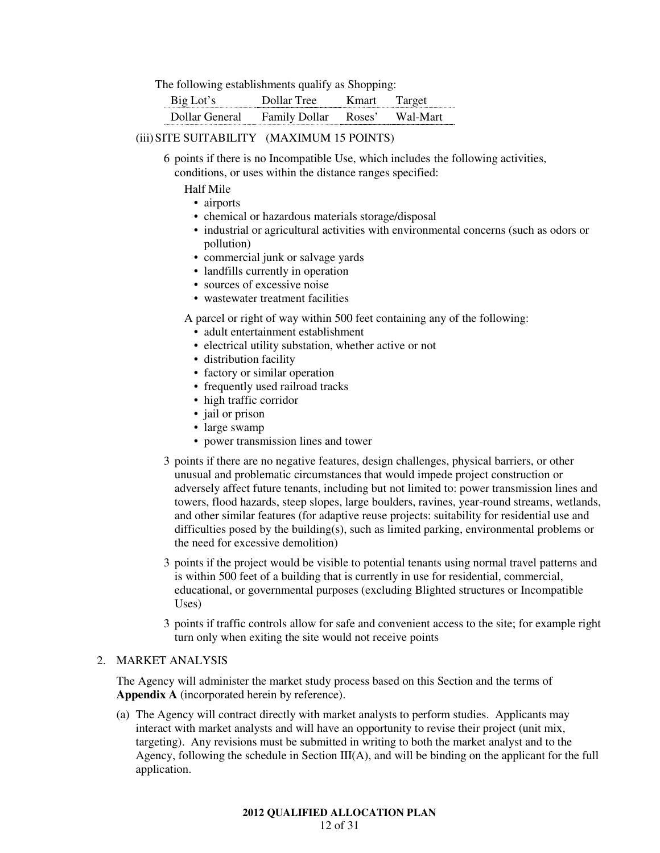The following establishments qualify as Shopping:

|                | I ree       |                   | rei            |
|----------------|-------------|-------------------|----------------|
| Jollar General | aily Dollar | $C \rightarrow C$ | lart<br>w al-M |

#### (iii) SITE SUITABILITY (MAXIMUM 15 POINTS)

 6 points if there is no Incompatible Use, which includes the following activities, conditions, or uses within the distance ranges specified:

Half Mile

- airports
- chemical or hazardous materials storage/disposal
- industrial or agricultural activities with environmental concerns (such as odors or pollution)
- commercial junk or salvage yards
- landfills currently in operation
- sources of excessive noise
- wastewater treatment facilities

A parcel or right of way within 500 feet containing any of the following:

- adult entertainment establishment
- electrical utility substation, whether active or not
- distribution facility
- factory or similar operation
- frequently used railroad tracks
- high traffic corridor
- jail or prison
- large swamp
- power transmission lines and tower
- 3 points if there are no negative features, design challenges, physical barriers, or other unusual and problematic circumstances that would impede project construction or adversely affect future tenants, including but not limited to: power transmission lines and towers, flood hazards, steep slopes, large boulders, ravines, year-round streams, wetlands, and other similar features (for adaptive reuse projects: suitability for residential use and difficulties posed by the building(s), such as limited parking, environmental problems or the need for excessive demolition)
- 3 points if the project would be visible to potential tenants using normal travel patterns and is within 500 feet of a building that is currently in use for residential, commercial, educational, or governmental purposes (excluding Blighted structures or Incompatible Uses)
- 3 points if traffic controls allow for safe and convenient access to the site; for example right turn only when exiting the site would not receive points

#### 2. MARKET ANALYSIS

The Agency will administer the market study process based on this Section and the terms of **Appendix A** (incorporated herein by reference).

(a) The Agency will contract directly with market analysts to perform studies. Applicants may interact with market analysts and will have an opportunity to revise their project (unit mix, targeting). Any revisions must be submitted in writing to both the market analyst and to the Agency, following the schedule in Section III(A), and will be binding on the applicant for the full application.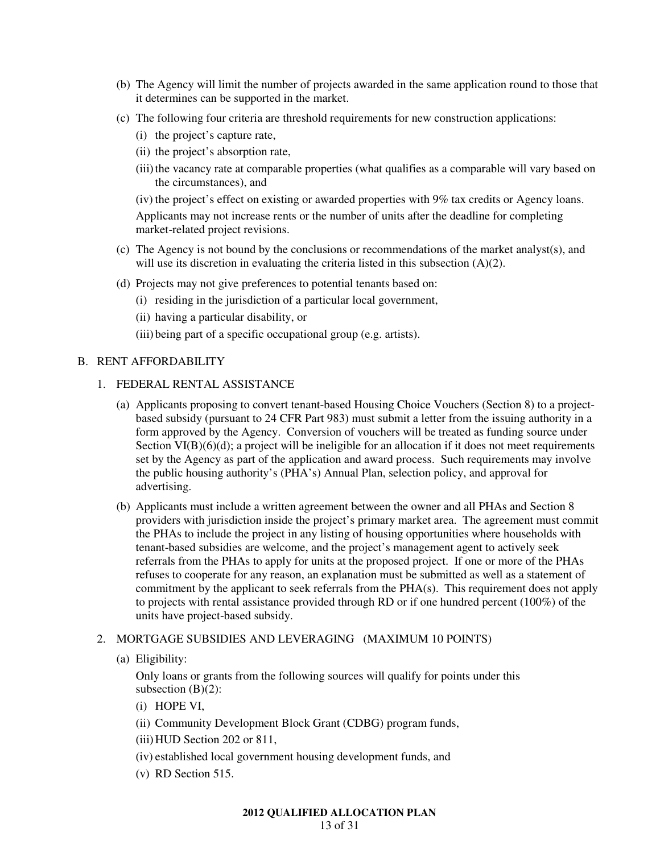- (b) The Agency will limit the number of projects awarded in the same application round to those that it determines can be supported in the market.
- (c) The following four criteria are threshold requirements for new construction applications:
	- (i) the project's capture rate,
	- (ii) the project's absorption rate,
	- (iii) the vacancy rate at comparable properties (what qualifies as a comparable will vary based on the circumstances), and
	- (iv) the project's effect on existing or awarded properties with 9% tax credits or Agency loans.

Applicants may not increase rents or the number of units after the deadline for completing market-related project revisions.

- (c) The Agency is not bound by the conclusions or recommendations of the market analyst(s), and will use its discretion in evaluating the criteria listed in this subsection (A)(2).
- (d) Projects may not give preferences to potential tenants based on:
	- (i) residing in the jurisdiction of a particular local government,
	- (ii) having a particular disability, or
	- (iii) being part of a specific occupational group (e.g. artists).

## B. RENT AFFORDABILITY

- 1. FEDERAL RENTAL ASSISTANCE
	- (a) Applicants proposing to convert tenant-based Housing Choice Vouchers (Section 8) to a projectbased subsidy (pursuant to 24 CFR Part 983) must submit a letter from the issuing authority in a form approved by the Agency. Conversion of vouchers will be treated as funding source under Section VI(B)(6)(d); a project will be ineligible for an allocation if it does not meet requirements set by the Agency as part of the application and award process. Such requirements may involve the public housing authority's (PHA's) Annual Plan, selection policy, and approval for advertising.
	- (b) Applicants must include a written agreement between the owner and all PHAs and Section 8 providers with jurisdiction inside the project's primary market area. The agreement must commit the PHAs to include the project in any listing of housing opportunities where households with tenant-based subsidies are welcome, and the project's management agent to actively seek referrals from the PHAs to apply for units at the proposed project. If one or more of the PHAs refuses to cooperate for any reason, an explanation must be submitted as well as a statement of commitment by the applicant to seek referrals from the PHA(s). This requirement does not apply to projects with rental assistance provided through RD or if one hundred percent (100%) of the units have project-based subsidy.

## 2. MORTGAGE SUBSIDIES AND LEVERAGING (MAXIMUM 10 POINTS)

(a) Eligibility:

Only loans or grants from the following sources will qualify for points under this subsection  $(B)(2)$ :

- (i) HOPE VI,
- (ii) Community Development Block Grant (CDBG) program funds,
- (iii) HUD Section 202 or 811,
- (iv) established local government housing development funds, and
- (v) RD Section 515.

#### **2012 QUALIFIED ALLOCATION PLAN**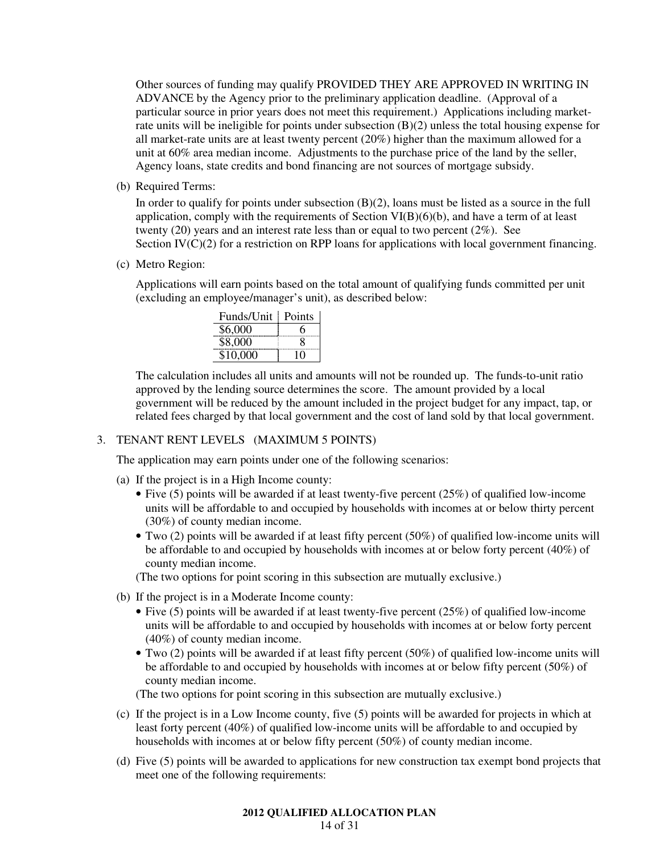Other sources of funding may qualify PROVIDED THEY ARE APPROVED IN WRITING IN ADVANCE by the Agency prior to the preliminary application deadline. (Approval of a particular source in prior years does not meet this requirement.) Applications including marketrate units will be ineligible for points under subsection  $(B)(2)$  unless the total housing expense for all market-rate units are at least twenty percent (20%) higher than the maximum allowed for a unit at 60% area median income. Adjustments to the purchase price of the land by the seller, Agency loans, state credits and bond financing are not sources of mortgage subsidy.

(b) Required Terms:

In order to qualify for points under subsection (B)(2), loans must be listed as a source in the full application, comply with the requirements of Section VI(B)(6)(b), and have a term of at least twenty (20) years and an interest rate less than or equal to two percent (2%). See Section IV(C)(2) for a restriction on RPP loans for applications with local government financing.

(c) Metro Region:

Applications will earn points based on the total amount of qualifying funds committed per unit (excluding an employee/manager's unit), as described below:

| Funds/Unit | Points |
|------------|--------|
| \$6,000    |        |
| \$8,000    |        |
| \$10,000   |        |

The calculation includes all units and amounts will not be rounded up. The funds-to-unit ratio approved by the lending source determines the score. The amount provided by a local government will be reduced by the amount included in the project budget for any impact, tap, or related fees charged by that local government and the cost of land sold by that local government.

## 3. TENANT RENT LEVELS (MAXIMUM 5 POINTS)

The application may earn points under one of the following scenarios:

- (a) If the project is in a High Income county:
	- Five (5) points will be awarded if at least twenty-five percent (25%) of qualified low-income units will be affordable to and occupied by households with incomes at or below thirty percent (30%) of county median income.
	- Two (2) points will be awarded if at least fifty percent (50%) of qualified low-income units will be affordable to and occupied by households with incomes at or below forty percent (40%) of county median income.

(The two options for point scoring in this subsection are mutually exclusive.)

- (b) If the project is in a Moderate Income county:
	- Five (5) points will be awarded if at least twenty-five percent (25%) of qualified low-income units will be affordable to and occupied by households with incomes at or below forty percent (40%) of county median income.
	- Two (2) points will be awarded if at least fifty percent (50%) of qualified low-income units will be affordable to and occupied by households with incomes at or below fifty percent (50%) of county median income.

(The two options for point scoring in this subsection are mutually exclusive.)

- (c) If the project is in a Low Income county, five (5) points will be awarded for projects in which at least forty percent (40%) of qualified low-income units will be affordable to and occupied by households with incomes at or below fifty percent (50%) of county median income.
- (d) Five (5) points will be awarded to applications for new construction tax exempt bond projects that meet one of the following requirements:

## **2012 QUALIFIED ALLOCATION PLAN**

14 of 31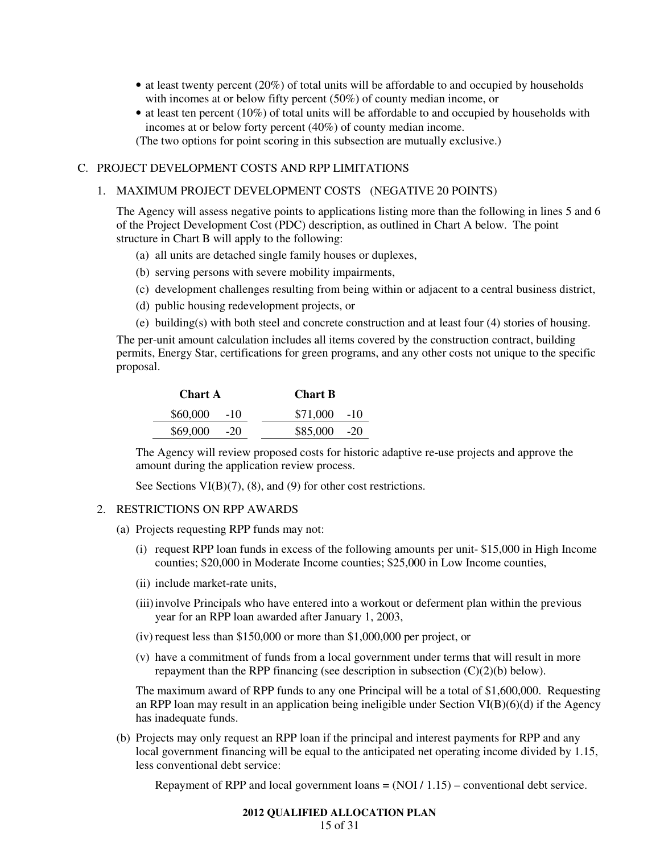- at least twenty percent (20%) of total units will be affordable to and occupied by households with incomes at or below fifty percent (50%) of county median income, or
- at least ten percent (10%) of total units will be affordable to and occupied by households with incomes at or below forty percent (40%) of county median income.

(The two options for point scoring in this subsection are mutually exclusive.)

## C. PROJECT DEVELOPMENT COSTS AND RPP LIMITATIONS

#### 1. MAXIMUM PROJECT DEVELOPMENT COSTS (NEGATIVE 20 POINTS)

The Agency will assess negative points to applications listing more than the following in lines 5 and 6 of the Project Development Cost (PDC) description, as outlined in Chart A below. The point structure in Chart B will apply to the following:

- (a) all units are detached single family houses or duplexes,
- (b) serving persons with severe mobility impairments,
- (c) development challenges resulting from being within or adjacent to a central business district,
- (d) public housing redevelopment projects, or
- (e) building(s) with both steel and concrete construction and at least four (4) stories of housing.

The per-unit amount calculation includes all items covered by the construction contract, building permits, Energy Star, certifications for green programs, and any other costs not unique to the specific proposal.

| <b>Chart A</b> | <b>Chart B</b> |  |
|----------------|----------------|--|
| $$60,000$ -10  | $$71,000$ -10  |  |
| $$69,000$ -20  | $$85,000$ -20  |  |

The Agency will review proposed costs for historic adaptive re-use projects and approve the amount during the application review process.

See Sections VI(B)(7), (8), and (9) for other cost restrictions.

## 2. RESTRICTIONS ON RPP AWARDS

- (a) Projects requesting RPP funds may not:
	- (i) request RPP loan funds in excess of the following amounts per unit- \$15,000 in High Income counties; \$20,000 in Moderate Income counties; \$25,000 in Low Income counties,
	- (ii) include market-rate units,
	- (iii) involve Principals who have entered into a workout or deferment plan within the previous year for an RPP loan awarded after January 1, 2003,
	- (iv) request less than \$150,000 or more than \$1,000,000 per project, or
	- (v) have a commitment of funds from a local government under terms that will result in more repayment than the RPP financing (see description in subsection  $(C)(2)(b)$  below).

The maximum award of RPP funds to any one Principal will be a total of \$1,600,000. Requesting an RPP loan may result in an application being ineligible under Section VI(B)(6)(d) if the Agency has inadequate funds.

(b) Projects may only request an RPP loan if the principal and interest payments for RPP and any local government financing will be equal to the anticipated net operating income divided by 1.15, less conventional debt service:

Repayment of RPP and local government loans  $= (NOI / 1.15)$  – conventional debt service.

## **2012 QUALIFIED ALLOCATION PLAN**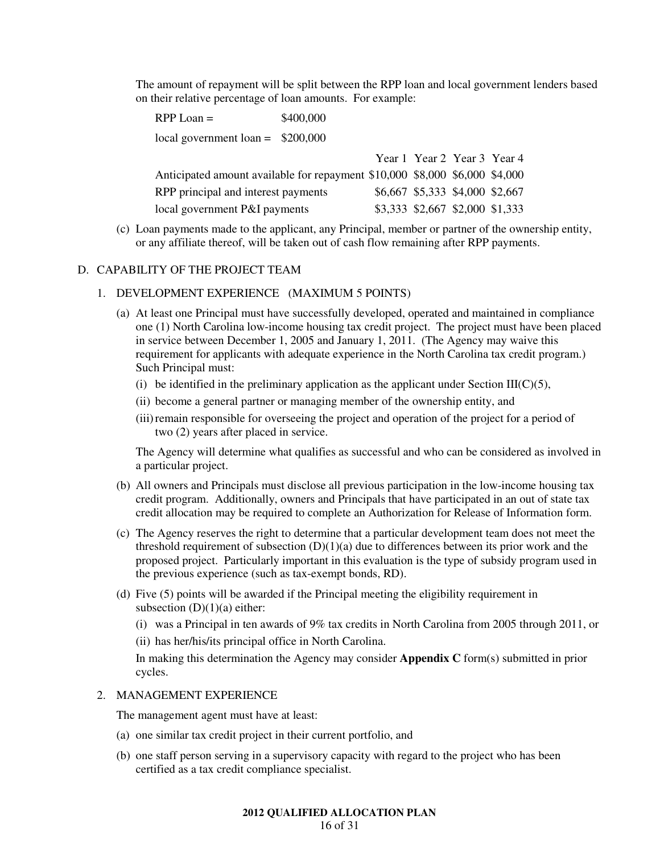The amount of repayment will be split between the RPP loan and local government lenders based on their relative percentage of loan amounts. For example:

RPP Loan =  $$400,000$ local government loan = \$200,000

|                                                                             | Year 1 Year 2 Year 3 Year 4     |  |
|-----------------------------------------------------------------------------|---------------------------------|--|
| Anticipated amount available for repayment \$10,000 \$8,000 \$6,000 \$4,000 |                                 |  |
| RPP principal and interest payments                                         | \$6,667 \$5,333 \$4,000 \$2,667 |  |
| local government P&I payments                                               | \$3,333 \$2,667 \$2,000 \$1,333 |  |

(c) Loan payments made to the applicant, any Principal, member or partner of the ownership entity, or any affiliate thereof, will be taken out of cash flow remaining after RPP payments.

## D. CAPABILITY OF THE PROJECT TEAM

#### 1. DEVELOPMENT EXPERIENCE (MAXIMUM 5 POINTS)

- (a) At least one Principal must have successfully developed, operated and maintained in compliance one (1) North Carolina low-income housing tax credit project. The project must have been placed in service between December 1, 2005 and January 1, 2011. (The Agency may waive this requirement for applicants with adequate experience in the North Carolina tax credit program.) Such Principal must:
	- (i) be identified in the preliminary application as the applicant under Section III( $C$ )(5),
	- (ii) become a general partner or managing member of the ownership entity, and
	- (iii) remain responsible for overseeing the project and operation of the project for a period of two (2) years after placed in service.

The Agency will determine what qualifies as successful and who can be considered as involved in a particular project.

- (b) All owners and Principals must disclose all previous participation in the low-income housing tax credit program. Additionally, owners and Principals that have participated in an out of state tax credit allocation may be required to complete an Authorization for Release of Information form.
- (c) The Agency reserves the right to determine that a particular development team does not meet the threshold requirement of subsection  $(D)(1)(a)$  due to differences between its prior work and the proposed project. Particularly important in this evaluation is the type of subsidy program used in the previous experience (such as tax-exempt bonds, RD).
- (d) Five (5) points will be awarded if the Principal meeting the eligibility requirement in subsection  $(D)(1)(a)$  either:
	- (i) was a Principal in ten awards of 9% tax credits in North Carolina from 2005 through 2011, or
	- (ii) has her/his/its principal office in North Carolina.

In making this determination the Agency may consider **Appendix C** form(s) submitted in prior cycles.

#### 2. MANAGEMENT EXPERIENCE

The management agent must have at least:

- (a) one similar tax credit project in their current portfolio, and
- (b) one staff person serving in a supervisory capacity with regard to the project who has been certified as a tax credit compliance specialist.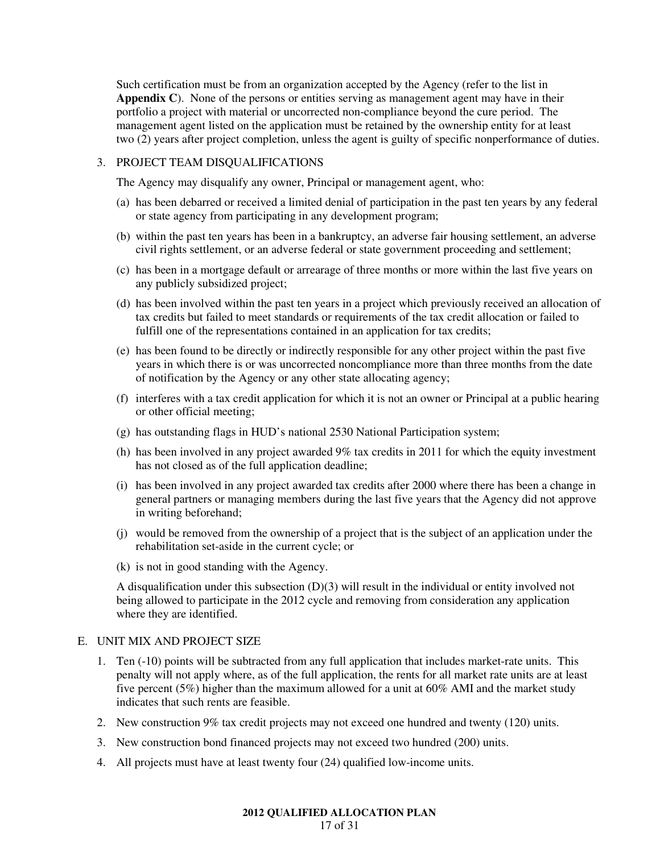Such certification must be from an organization accepted by the Agency (refer to the list in **Appendix C**). None of the persons or entities serving as management agent may have in their portfolio a project with material or uncorrected non-compliance beyond the cure period. The management agent listed on the application must be retained by the ownership entity for at least two (2) years after project completion, unless the agent is guilty of specific nonperformance of duties.

#### 3. PROJECT TEAM DISQUALIFICATIONS

The Agency may disqualify any owner, Principal or management agent, who:

- (a) has been debarred or received a limited denial of participation in the past ten years by any federal or state agency from participating in any development program;
- (b) within the past ten years has been in a bankruptcy, an adverse fair housing settlement, an adverse civil rights settlement, or an adverse federal or state government proceeding and settlement;
- (c) has been in a mortgage default or arrearage of three months or more within the last five years on any publicly subsidized project;
- (d) has been involved within the past ten years in a project which previously received an allocation of tax credits but failed to meet standards or requirements of the tax credit allocation or failed to fulfill one of the representations contained in an application for tax credits;
- (e) has been found to be directly or indirectly responsible for any other project within the past five years in which there is or was uncorrected noncompliance more than three months from the date of notification by the Agency or any other state allocating agency;
- (f) interferes with a tax credit application for which it is not an owner or Principal at a public hearing or other official meeting;
- (g) has outstanding flags in HUD's national 2530 National Participation system;
- (h) has been involved in any project awarded 9% tax credits in 2011 for which the equity investment has not closed as of the full application deadline;
- (i) has been involved in any project awarded tax credits after 2000 where there has been a change in general partners or managing members during the last five years that the Agency did not approve in writing beforehand;
- (j) would be removed from the ownership of a project that is the subject of an application under the rehabilitation set-aside in the current cycle; or
- (k) is not in good standing with the Agency.

A disqualification under this subsection (D)(3) will result in the individual or entity involved not being allowed to participate in the 2012 cycle and removing from consideration any application where they are identified.

#### E. UNIT MIX AND PROJECT SIZE

- 1. Ten (-10) points will be subtracted from any full application that includes market-rate units. This penalty will not apply where, as of the full application, the rents for all market rate units are at least five percent (5%) higher than the maximum allowed for a unit at 60% AMI and the market study indicates that such rents are feasible.
- 2. New construction 9% tax credit projects may not exceed one hundred and twenty (120) units.
- 3. New construction bond financed projects may not exceed two hundred (200) units.
- 4. All projects must have at least twenty four (24) qualified low-income units.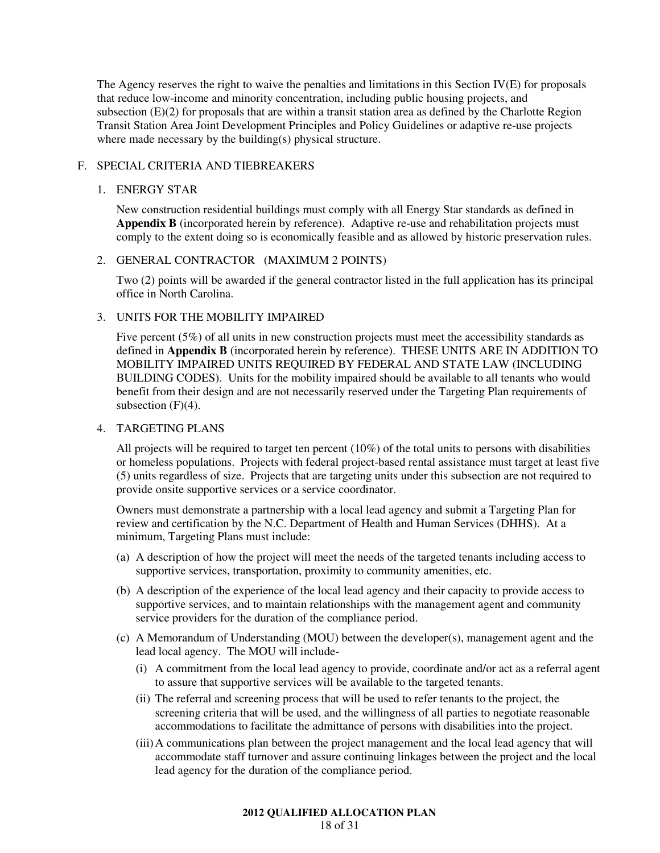The Agency reserves the right to waive the penalties and limitations in this Section IV(E) for proposals that reduce low-income and minority concentration, including public housing projects, and subsection (E)(2) for proposals that are within a transit station area as defined by the Charlotte Region Transit Station Area Joint Development Principles and Policy Guidelines or adaptive re-use projects where made necessary by the building(s) physical structure.

## F. SPECIAL CRITERIA AND TIEBREAKERS

## 1. ENERGY STAR

New construction residential buildings must comply with all Energy Star standards as defined in **Appendix B** (incorporated herein by reference). Adaptive re-use and rehabilitation projects must comply to the extent doing so is economically feasible and as allowed by historic preservation rules.

## 2. GENERAL CONTRACTOR (MAXIMUM 2 POINTS)

Two (2) points will be awarded if the general contractor listed in the full application has its principal office in North Carolina.

## 3. UNITS FOR THE MOBILITY IMPAIRED

Five percent (5%) of all units in new construction projects must meet the accessibility standards as defined in **Appendix B** (incorporated herein by reference). THESE UNITS ARE IN ADDITION TO MOBILITY IMPAIRED UNITS REQUIRED BY FEDERAL AND STATE LAW (INCLUDING BUILDING CODES). Units for the mobility impaired should be available to all tenants who would benefit from their design and are not necessarily reserved under the Targeting Plan requirements of subsection  $(F)(4)$ .

#### 4. TARGETING PLANS

All projects will be required to target ten percent (10%) of the total units to persons with disabilities or homeless populations. Projects with federal project-based rental assistance must target at least five (5) units regardless of size. Projects that are targeting units under this subsection are not required to provide onsite supportive services or a service coordinator.

Owners must demonstrate a partnership with a local lead agency and submit a Targeting Plan for review and certification by the N.C. Department of Health and Human Services (DHHS). At a minimum, Targeting Plans must include:

- (a) A description of how the project will meet the needs of the targeted tenants including access to supportive services, transportation, proximity to community amenities, etc.
- (b) A description of the experience of the local lead agency and their capacity to provide access to supportive services, and to maintain relationships with the management agent and community service providers for the duration of the compliance period.
- (c) A Memorandum of Understanding (MOU) between the developer(s), management agent and the lead local agency. The MOU will include-
	- (i) A commitment from the local lead agency to provide, coordinate and/or act as a referral agent to assure that supportive services will be available to the targeted tenants.
	- (ii) The referral and screening process that will be used to refer tenants to the project, the screening criteria that will be used, and the willingness of all parties to negotiate reasonable accommodations to facilitate the admittance of persons with disabilities into the project.
	- (iii) A communications plan between the project management and the local lead agency that will accommodate staff turnover and assure continuing linkages between the project and the local lead agency for the duration of the compliance period.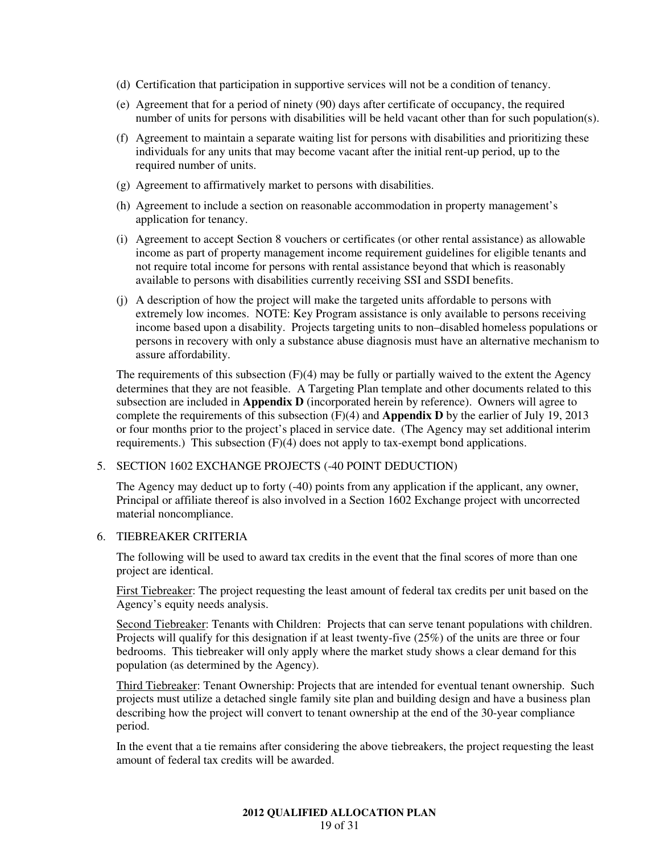- (d) Certification that participation in supportive services will not be a condition of tenancy.
- (e) Agreement that for a period of ninety (90) days after certificate of occupancy, the required number of units for persons with disabilities will be held vacant other than for such population(s).
- (f) Agreement to maintain a separate waiting list for persons with disabilities and prioritizing these individuals for any units that may become vacant after the initial rent-up period, up to the required number of units.
- (g) Agreement to affirmatively market to persons with disabilities.
- (h) Agreement to include a section on reasonable accommodation in property management's application for tenancy.
- (i) Agreement to accept Section 8 vouchers or certificates (or other rental assistance) as allowable income as part of property management income requirement guidelines for eligible tenants and not require total income for persons with rental assistance beyond that which is reasonably available to persons with disabilities currently receiving SSI and SSDI benefits.
- (j) A description of how the project will make the targeted units affordable to persons with extremely low incomes. NOTE: Key Program assistance is only available to persons receiving income based upon a disability. Projects targeting units to non–disabled homeless populations or persons in recovery with only a substance abuse diagnosis must have an alternative mechanism to assure affordability.

The requirements of this subsection  $(F)(4)$  may be fully or partially waived to the extent the Agency determines that they are not feasible. A Targeting Plan template and other documents related to this subsection are included in **Appendix D** (incorporated herein by reference). Owners will agree to complete the requirements of this subsection (F)(4) and **Appendix D** by the earlier of July 19, 2013 or four months prior to the project's placed in service date. (The Agency may set additional interim requirements.) This subsection (F)(4) does not apply to tax-exempt bond applications.

#### 5. SECTION 1602 EXCHANGE PROJECTS (-40 POINT DEDUCTION)

The Agency may deduct up to forty (-40) points from any application if the applicant, any owner, Principal or affiliate thereof is also involved in a Section 1602 Exchange project with uncorrected material noncompliance.

## 6. TIEBREAKER CRITERIA

The following will be used to award tax credits in the event that the final scores of more than one project are identical.

First Tiebreaker: The project requesting the least amount of federal tax credits per unit based on the Agency's equity needs analysis.

Second Tiebreaker: Tenants with Children: Projects that can serve tenant populations with children. Projects will qualify for this designation if at least twenty-five (25%) of the units are three or four bedrooms. This tiebreaker will only apply where the market study shows a clear demand for this population (as determined by the Agency).

Third Tiebreaker: Tenant Ownership: Projects that are intended for eventual tenant ownership. Such projects must utilize a detached single family site plan and building design and have a business plan describing how the project will convert to tenant ownership at the end of the 30-year compliance period.

In the event that a tie remains after considering the above tiebreakers, the project requesting the least amount of federal tax credits will be awarded.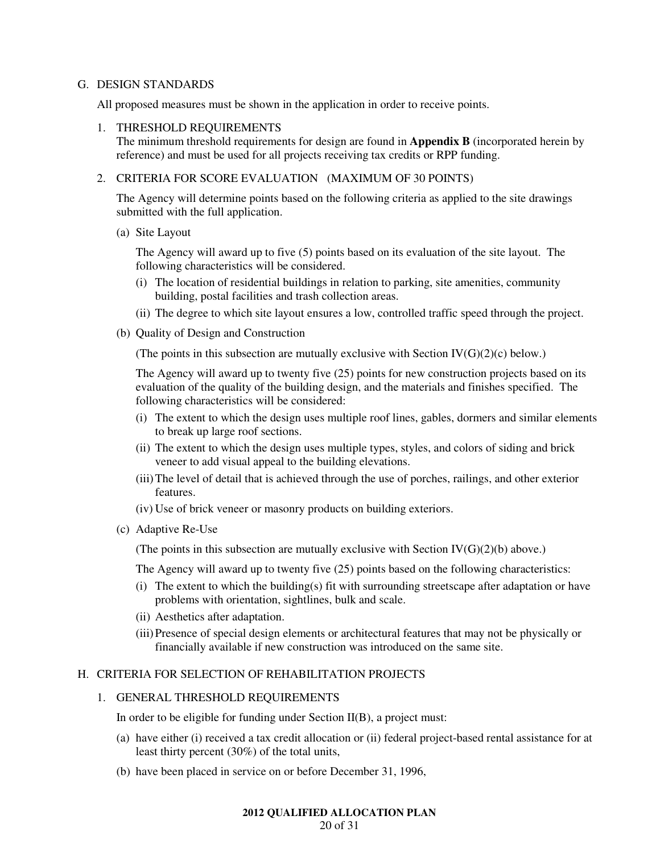#### G. DESIGN STANDARDS

All proposed measures must be shown in the application in order to receive points.

#### 1. THRESHOLD REQUIREMENTS

The minimum threshold requirements for design are found in **Appendix B** (incorporated herein by reference) and must be used for all projects receiving tax credits or RPP funding.

## 2. CRITERIA FOR SCORE EVALUATION (MAXIMUM OF 30 POINTS)

The Agency will determine points based on the following criteria as applied to the site drawings submitted with the full application.

(a) Site Layout

The Agency will award up to five (5) points based on its evaluation of the site layout. The following characteristics will be considered.

- (i) The location of residential buildings in relation to parking, site amenities, community building, postal facilities and trash collection areas.
- (ii) The degree to which site layout ensures a low, controlled traffic speed through the project.
- (b) Quality of Design and Construction

(The points in this subsection are mutually exclusive with Section  $IV(G)(2)(c)$  below.)

The Agency will award up to twenty five (25) points for new construction projects based on its evaluation of the quality of the building design, and the materials and finishes specified. The following characteristics will be considered:

- (i) The extent to which the design uses multiple roof lines, gables, dormers and similar elements to break up large roof sections.
- (ii) The extent to which the design uses multiple types, styles, and colors of siding and brick veneer to add visual appeal to the building elevations.
- (iii) The level of detail that is achieved through the use of porches, railings, and other exterior features.
- (iv) Use of brick veneer or masonry products on building exteriors.
- (c) Adaptive Re-Use

(The points in this subsection are mutually exclusive with Section  $IV(G)(2)(b)$  above.)

The Agency will award up to twenty five (25) points based on the following characteristics:

- (i) The extent to which the building(s) fit with surrounding streetscape after adaptation or have problems with orientation, sightlines, bulk and scale.
- (ii) Aesthetics after adaptation.
- (iii) Presence of special design elements or architectural features that may not be physically or financially available if new construction was introduced on the same site.

## H. CRITERIA FOR SELECTION OF REHABILITATION PROJECTS

#### 1. GENERAL THRESHOLD REQUIREMENTS

In order to be eligible for funding under Section II(B), a project must:

- (a) have either (i) received a tax credit allocation or (ii) federal project-based rental assistance for at least thirty percent (30%) of the total units,
- (b) have been placed in service on or before December 31, 1996,

#### **2012 QUALIFIED ALLOCATION PLAN**  20 of 31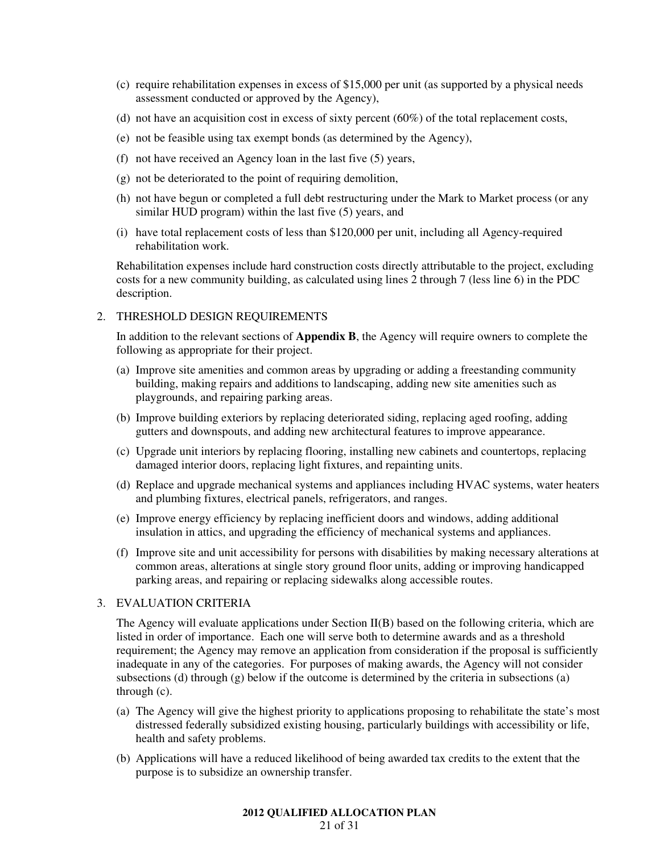- (c) require rehabilitation expenses in excess of \$15,000 per unit (as supported by a physical needs assessment conducted or approved by the Agency),
- (d) not have an acquisition cost in excess of sixty percent (60%) of the total replacement costs,
- (e) not be feasible using tax exempt bonds (as determined by the Agency),
- (f) not have received an Agency loan in the last five (5) years,
- (g) not be deteriorated to the point of requiring demolition,
- (h) not have begun or completed a full debt restructuring under the Mark to Market process (or any similar HUD program) within the last five (5) years, and
- (i) have total replacement costs of less than \$120,000 per unit, including all Agency-required rehabilitation work.

Rehabilitation expenses include hard construction costs directly attributable to the project, excluding costs for a new community building, as calculated using lines 2 through 7 (less line 6) in the PDC description.

## 2. THRESHOLD DESIGN REQUIREMENTS

In addition to the relevant sections of **Appendix B**, the Agency will require owners to complete the following as appropriate for their project.

- (a) Improve site amenities and common areas by upgrading or adding a freestanding community building, making repairs and additions to landscaping, adding new site amenities such as playgrounds, and repairing parking areas.
- (b) Improve building exteriors by replacing deteriorated siding, replacing aged roofing, adding gutters and downspouts, and adding new architectural features to improve appearance.
- (c) Upgrade unit interiors by replacing flooring, installing new cabinets and countertops, replacing damaged interior doors, replacing light fixtures, and repainting units.
- (d) Replace and upgrade mechanical systems and appliances including HVAC systems, water heaters and plumbing fixtures, electrical panels, refrigerators, and ranges.
- (e) Improve energy efficiency by replacing inefficient doors and windows, adding additional insulation in attics, and upgrading the efficiency of mechanical systems and appliances.
- (f) Improve site and unit accessibility for persons with disabilities by making necessary alterations at common areas, alterations at single story ground floor units, adding or improving handicapped parking areas, and repairing or replacing sidewalks along accessible routes.

#### 3. EVALUATION CRITERIA

The Agency will evaluate applications under Section II(B) based on the following criteria, which are listed in order of importance. Each one will serve both to determine awards and as a threshold requirement; the Agency may remove an application from consideration if the proposal is sufficiently inadequate in any of the categories. For purposes of making awards, the Agency will not consider subsections (d) through  $(g)$  below if the outcome is determined by the criteria in subsections (a) through (c).

- (a) The Agency will give the highest priority to applications proposing to rehabilitate the state's most distressed federally subsidized existing housing, particularly buildings with accessibility or life, health and safety problems.
- (b) Applications will have a reduced likelihood of being awarded tax credits to the extent that the purpose is to subsidize an ownership transfer.

## **2012 QUALIFIED ALLOCATION PLAN**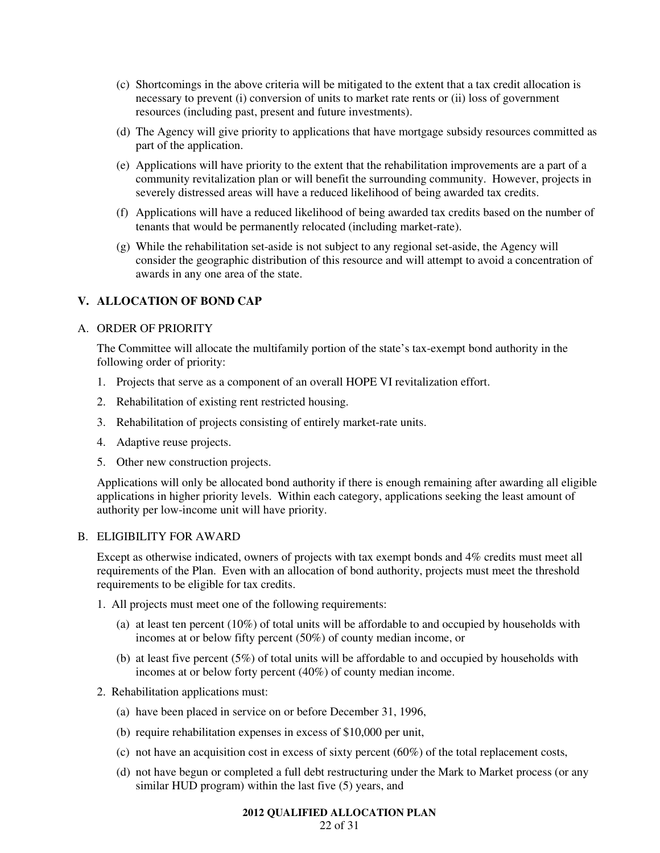- (c) Shortcomings in the above criteria will be mitigated to the extent that a tax credit allocation is necessary to prevent (i) conversion of units to market rate rents or (ii) loss of government resources (including past, present and future investments).
- (d) The Agency will give priority to applications that have mortgage subsidy resources committed as part of the application.
- (e) Applications will have priority to the extent that the rehabilitation improvements are a part of a community revitalization plan or will benefit the surrounding community. However, projects in severely distressed areas will have a reduced likelihood of being awarded tax credits.
- (f) Applications will have a reduced likelihood of being awarded tax credits based on the number of tenants that would be permanently relocated (including market-rate).
- (g) While the rehabilitation set-aside is not subject to any regional set-aside, the Agency will consider the geographic distribution of this resource and will attempt to avoid a concentration of awards in any one area of the state.

## **V. ALLOCATION OF BOND CAP**

## A. ORDER OF PRIORITY

The Committee will allocate the multifamily portion of the state's tax-exempt bond authority in the following order of priority:

- 1. Projects that serve as a component of an overall HOPE VI revitalization effort.
- 2. Rehabilitation of existing rent restricted housing.
- 3. Rehabilitation of projects consisting of entirely market-rate units.
- 4. Adaptive reuse projects.
- 5. Other new construction projects.

Applications will only be allocated bond authority if there is enough remaining after awarding all eligible applications in higher priority levels. Within each category, applications seeking the least amount of authority per low-income unit will have priority.

#### B. ELIGIBILITY FOR AWARD

Except as otherwise indicated, owners of projects with tax exempt bonds and 4% credits must meet all requirements of the Plan. Even with an allocation of bond authority, projects must meet the threshold requirements to be eligible for tax credits.

1. All projects must meet one of the following requirements:

- (a) at least ten percent (10%) of total units will be affordable to and occupied by households with incomes at or below fifty percent (50%) of county median income, or
- (b) at least five percent (5%) of total units will be affordable to and occupied by households with incomes at or below forty percent (40%) of county median income.
- 2. Rehabilitation applications must:
	- (a) have been placed in service on or before December 31, 1996,
	- (b) require rehabilitation expenses in excess of \$10,000 per unit,
	- (c) not have an acquisition cost in excess of sixty percent (60%) of the total replacement costs,
	- (d) not have begun or completed a full debt restructuring under the Mark to Market process (or any similar HUD program) within the last five (5) years, and

#### **2012 QUALIFIED ALLOCATION PLAN**

#### 22 of 31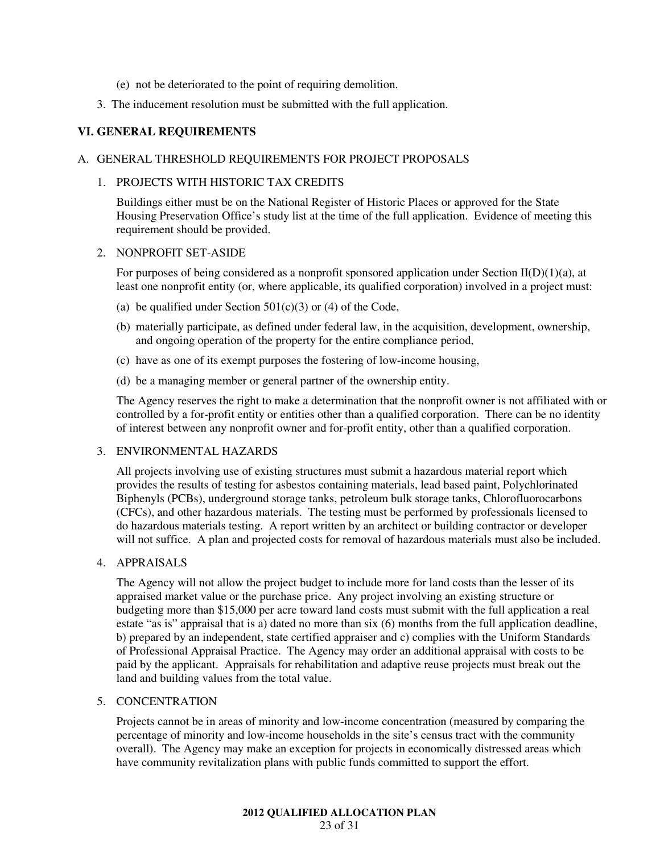- (e) not be deteriorated to the point of requiring demolition.
- 3. The inducement resolution must be submitted with the full application.

## **VI. GENERAL REQUIREMENTS**

#### A. GENERAL THRESHOLD REQUIREMENTS FOR PROJECT PROPOSALS

#### 1. PROJECTS WITH HISTORIC TAX CREDITS

Buildings either must be on the National Register of Historic Places or approved for the State Housing Preservation Office's study list at the time of the full application. Evidence of meeting this requirement should be provided.

#### 2. NONPROFIT SET-ASIDE

For purposes of being considered as a nonprofit sponsored application under Section  $II(D)(1)(a)$ , at least one nonprofit entity (or, where applicable, its qualified corporation) involved in a project must:

- (a) be qualified under Section  $501(c)(3)$  or (4) of the Code,
- (b) materially participate, as defined under federal law, in the acquisition, development, ownership, and ongoing operation of the property for the entire compliance period,
- (c) have as one of its exempt purposes the fostering of low-income housing,
- (d) be a managing member or general partner of the ownership entity.

The Agency reserves the right to make a determination that the nonprofit owner is not affiliated with or controlled by a for-profit entity or entities other than a qualified corporation. There can be no identity of interest between any nonprofit owner and for-profit entity, other than a qualified corporation.

## 3. ENVIRONMENTAL HAZARDS

All projects involving use of existing structures must submit a hazardous material report which provides the results of testing for asbestos containing materials, lead based paint, Polychlorinated Biphenyls (PCBs), underground storage tanks, petroleum bulk storage tanks, Chlorofluorocarbons (CFCs), and other hazardous materials. The testing must be performed by professionals licensed to do hazardous materials testing. A report written by an architect or building contractor or developer will not suffice. A plan and projected costs for removal of hazardous materials must also be included.

## 4. APPRAISALS

The Agency will not allow the project budget to include more for land costs than the lesser of its appraised market value or the purchase price. Any project involving an existing structure or budgeting more than \$15,000 per acre toward land costs must submit with the full application a real estate "as is" appraisal that is a) dated no more than six (6) months from the full application deadline, b) prepared by an independent, state certified appraiser and c) complies with the Uniform Standards of Professional Appraisal Practice. The Agency may order an additional appraisal with costs to be paid by the applicant. Appraisals for rehabilitation and adaptive reuse projects must break out the land and building values from the total value.

## 5. CONCENTRATION

Projects cannot be in areas of minority and low-income concentration (measured by comparing the percentage of minority and low-income households in the site's census tract with the community overall). The Agency may make an exception for projects in economically distressed areas which have community revitalization plans with public funds committed to support the effort.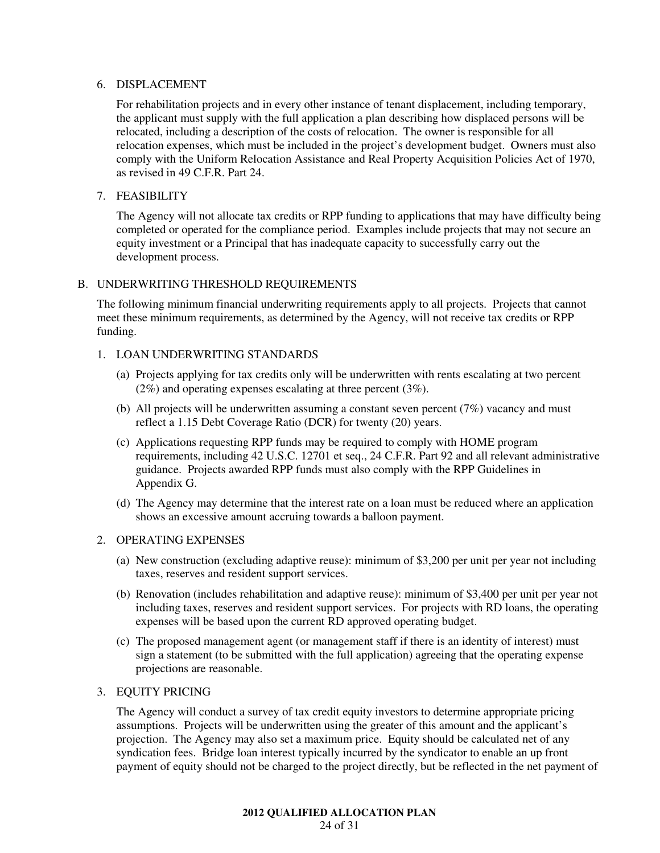#### 6. DISPLACEMENT

For rehabilitation projects and in every other instance of tenant displacement, including temporary, the applicant must supply with the full application a plan describing how displaced persons will be relocated, including a description of the costs of relocation. The owner is responsible for all relocation expenses, which must be included in the project's development budget. Owners must also comply with the Uniform Relocation Assistance and Real Property Acquisition Policies Act of 1970, as revised in 49 C.F.R. Part 24.

## 7. FEASIBILITY

The Agency will not allocate tax credits or RPP funding to applications that may have difficulty being completed or operated for the compliance period. Examples include projects that may not secure an equity investment or a Principal that has inadequate capacity to successfully carry out the development process.

## B. UNDERWRITING THRESHOLD REQUIREMENTS

The following minimum financial underwriting requirements apply to all projects. Projects that cannot meet these minimum requirements, as determined by the Agency, will not receive tax credits or RPP funding.

## 1. LOAN UNDERWRITING STANDARDS

- (a) Projects applying for tax credits only will be underwritten with rents escalating at two percent (2%) and operating expenses escalating at three percent (3%).
- (b) All projects will be underwritten assuming a constant seven percent (7%) vacancy and must reflect a 1.15 Debt Coverage Ratio (DCR) for twenty (20) years.
- (c) Applications requesting RPP funds may be required to comply with HOME program requirements, including 42 U.S.C. 12701 et seq., 24 C.F.R. Part 92 and all relevant administrative guidance. Projects awarded RPP funds must also comply with the RPP Guidelines in Appendix G.
- (d) The Agency may determine that the interest rate on a loan must be reduced where an application shows an excessive amount accruing towards a balloon payment.

## 2. OPERATING EXPENSES

- (a) New construction (excluding adaptive reuse): minimum of \$3,200 per unit per year not including taxes, reserves and resident support services.
- (b) Renovation (includes rehabilitation and adaptive reuse): minimum of \$3,400 per unit per year not including taxes, reserves and resident support services. For projects with RD loans, the operating expenses will be based upon the current RD approved operating budget.
- (c) The proposed management agent (or management staff if there is an identity of interest) must sign a statement (to be submitted with the full application) agreeing that the operating expense projections are reasonable.

## 3. EQUITY PRICING

The Agency will conduct a survey of tax credit equity investors to determine appropriate pricing assumptions. Projects will be underwritten using the greater of this amount and the applicant's projection. The Agency may also set a maximum price. Equity should be calculated net of any syndication fees. Bridge loan interest typically incurred by the syndicator to enable an up front payment of equity should not be charged to the project directly, but be reflected in the net payment of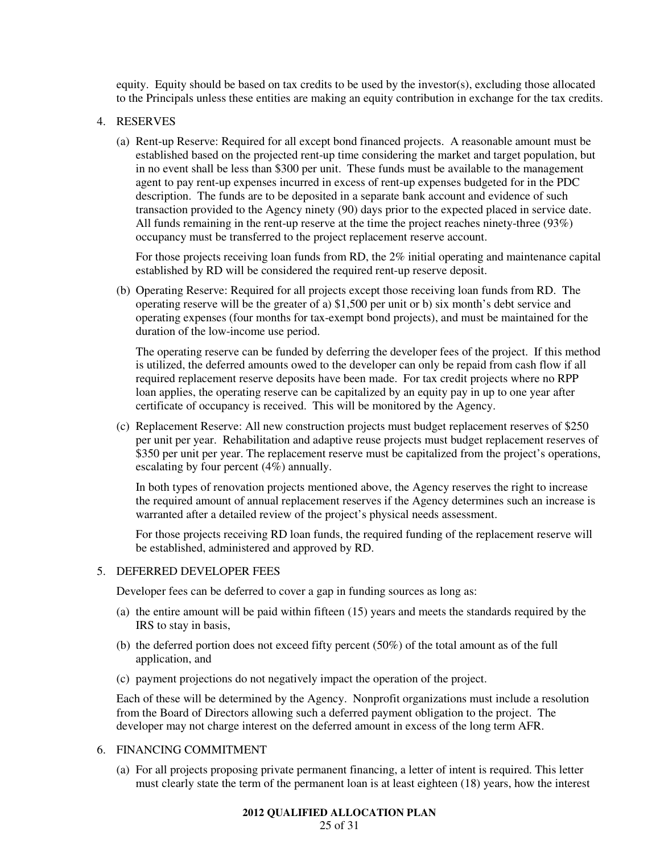equity. Equity should be based on tax credits to be used by the investor(s), excluding those allocated to the Principals unless these entities are making an equity contribution in exchange for the tax credits.

#### 4. RESERVES

(a) Rent-up Reserve: Required for all except bond financed projects. A reasonable amount must be established based on the projected rent-up time considering the market and target population, but in no event shall be less than \$300 per unit. These funds must be available to the management agent to pay rent-up expenses incurred in excess of rent-up expenses budgeted for in the PDC description. The funds are to be deposited in a separate bank account and evidence of such transaction provided to the Agency ninety (90) days prior to the expected placed in service date. All funds remaining in the rent-up reserve at the time the project reaches ninety-three (93%) occupancy must be transferred to the project replacement reserve account.

For those projects receiving loan funds from RD, the 2% initial operating and maintenance capital established by RD will be considered the required rent-up reserve deposit.

(b) Operating Reserve: Required for all projects except those receiving loan funds from RD. The operating reserve will be the greater of a) \$1,500 per unit or b) six month's debt service and operating expenses (four months for tax-exempt bond projects), and must be maintained for the duration of the low-income use period.

The operating reserve can be funded by deferring the developer fees of the project. If this method is utilized, the deferred amounts owed to the developer can only be repaid from cash flow if all required replacement reserve deposits have been made. For tax credit projects where no RPP loan applies, the operating reserve can be capitalized by an equity pay in up to one year after certificate of occupancy is received. This will be monitored by the Agency.

(c) Replacement Reserve: All new construction projects must budget replacement reserves of \$250 per unit per year. Rehabilitation and adaptive reuse projects must budget replacement reserves of \$350 per unit per year. The replacement reserve must be capitalized from the project's operations, escalating by four percent (4%) annually.

In both types of renovation projects mentioned above, the Agency reserves the right to increase the required amount of annual replacement reserves if the Agency determines such an increase is warranted after a detailed review of the project's physical needs assessment.

For those projects receiving RD loan funds, the required funding of the replacement reserve will be established, administered and approved by RD.

#### 5. DEFERRED DEVELOPER FEES

Developer fees can be deferred to cover a gap in funding sources as long as:

- (a) the entire amount will be paid within fifteen (15) years and meets the standards required by the IRS to stay in basis,
- (b) the deferred portion does not exceed fifty percent (50%) of the total amount as of the full application, and
- (c) payment projections do not negatively impact the operation of the project.

Each of these will be determined by the Agency. Nonprofit organizations must include a resolution from the Board of Directors allowing such a deferred payment obligation to the project. The developer may not charge interest on the deferred amount in excess of the long term AFR.

## 6. FINANCING COMMITMENT

(a) For all projects proposing private permanent financing, a letter of intent is required. This letter must clearly state the term of the permanent loan is at least eighteen (18) years, how the interest

#### **2012 QUALIFIED ALLOCATION PLAN**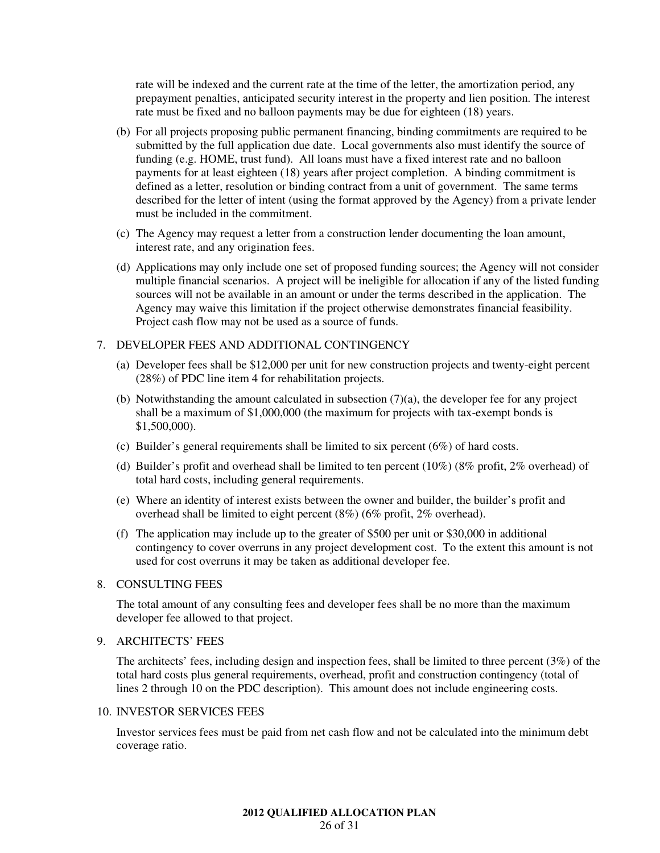rate will be indexed and the current rate at the time of the letter, the amortization period, any prepayment penalties, anticipated security interest in the property and lien position. The interest rate must be fixed and no balloon payments may be due for eighteen (18) years.

- (b) For all projects proposing public permanent financing, binding commitments are required to be submitted by the full application due date. Local governments also must identify the source of funding (e.g. HOME, trust fund). All loans must have a fixed interest rate and no balloon payments for at least eighteen (18) years after project completion. A binding commitment is defined as a letter, resolution or binding contract from a unit of government. The same terms described for the letter of intent (using the format approved by the Agency) from a private lender must be included in the commitment.
- (c) The Agency may request a letter from a construction lender documenting the loan amount, interest rate, and any origination fees.
- (d) Applications may only include one set of proposed funding sources; the Agency will not consider multiple financial scenarios. A project will be ineligible for allocation if any of the listed funding sources will not be available in an amount or under the terms described in the application. The Agency may waive this limitation if the project otherwise demonstrates financial feasibility. Project cash flow may not be used as a source of funds.

#### 7. DEVELOPER FEES AND ADDITIONAL CONTINGENCY

- (a) Developer fees shall be \$12,000 per unit for new construction projects and twenty-eight percent (28%) of PDC line item 4 for rehabilitation projects.
- (b) Notwithstanding the amount calculated in subsection  $(7)(a)$ , the developer fee for any project shall be a maximum of \$1,000,000 (the maximum for projects with tax-exempt bonds is \$1,500,000).
- (c) Builder's general requirements shall be limited to six percent (6%) of hard costs.
- (d) Builder's profit and overhead shall be limited to ten percent  $(10\%)$  (8% profit, 2% overhead) of total hard costs, including general requirements.
- (e) Where an identity of interest exists between the owner and builder, the builder's profit and overhead shall be limited to eight percent (8%) (6% profit, 2% overhead).
- (f) The application may include up to the greater of \$500 per unit or \$30,000 in additional contingency to cover overruns in any project development cost. To the extent this amount is not used for cost overruns it may be taken as additional developer fee.

#### 8. CONSULTING FEES

The total amount of any consulting fees and developer fees shall be no more than the maximum developer fee allowed to that project.

## 9. ARCHITECTS' FEES

The architects' fees, including design and inspection fees, shall be limited to three percent (3%) of the total hard costs plus general requirements, overhead, profit and construction contingency (total of lines 2 through 10 on the PDC description). This amount does not include engineering costs.

#### 10. INVESTOR SERVICES FEES

Investor services fees must be paid from net cash flow and not be calculated into the minimum debt coverage ratio.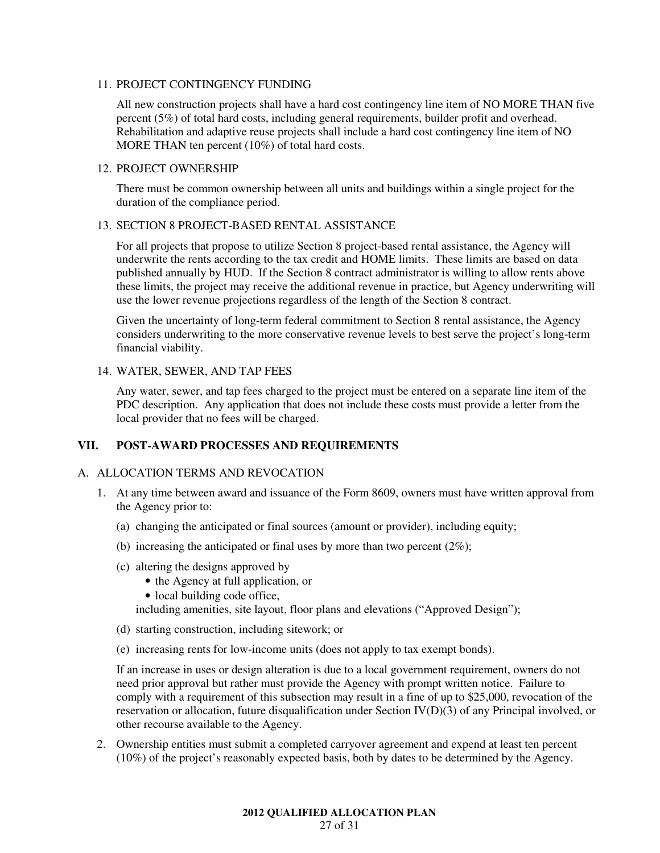## 11. PROJECT CONTINGENCY FUNDING

All new construction projects shall have a hard cost contingency line item of NO MORE THAN five percent (5%) of total hard costs, including general requirements, builder profit and overhead. Rehabilitation and adaptive reuse projects shall include a hard cost contingency line item of NO MORE THAN ten percent (10%) of total hard costs.

## 12. PROJECT OWNERSHIP

There must be common ownership between all units and buildings within a single project for the duration of the compliance period.

## 13. SECTION 8 PROJECT-BASED RENTAL ASSISTANCE

For all projects that propose to utilize Section 8 project-based rental assistance, the Agency will underwrite the rents according to the tax credit and HOME limits. These limits are based on data published annually by HUD. If the Section 8 contract administrator is willing to allow rents above these limits, the project may receive the additional revenue in practice, but Agency underwriting will use the lower revenue projections regardless of the length of the Section 8 contract.

Given the uncertainty of long-term federal commitment to Section 8 rental assistance, the Agency considers underwriting to the more conservative revenue levels to best serve the project's long-term financial viability.

## 14. WATER, SEWER, AND TAP FEES

Any water, sewer, and tap fees charged to the project must be entered on a separate line item of the PDC description. Any application that does not include these costs must provide a letter from the local provider that no fees will be charged.

## **VII. POST-AWARD PROCESSES AND REQUIREMENTS**

#### A. ALLOCATION TERMS AND REVOCATION

- 1. At any time between award and issuance of the Form 8609, owners must have written approval from the Agency prior to:
	- (a) changing the anticipated or final sources (amount or provider), including equity;
	- (b) increasing the anticipated or final uses by more than two percent  $(2\%)$ ;
	- (c) altering the designs approved by
		- the Agency at full application, or
		- local building code office,

including amenities, site layout, floor plans and elevations ("Approved Design");

- (d) starting construction, including sitework; or
- (e) increasing rents for low-income units (does not apply to tax exempt bonds).

If an increase in uses or design alteration is due to a local government requirement, owners do not need prior approval but rather must provide the Agency with prompt written notice. Failure to comply with a requirement of this subsection may result in a fine of up to \$25,000, revocation of the reservation or allocation, future disqualification under Section IV(D)(3) of any Principal involved, or other recourse available to the Agency.

2. Ownership entities must submit a completed carryover agreement and expend at least ten percent (10%) of the project's reasonably expected basis, both by dates to be determined by the Agency.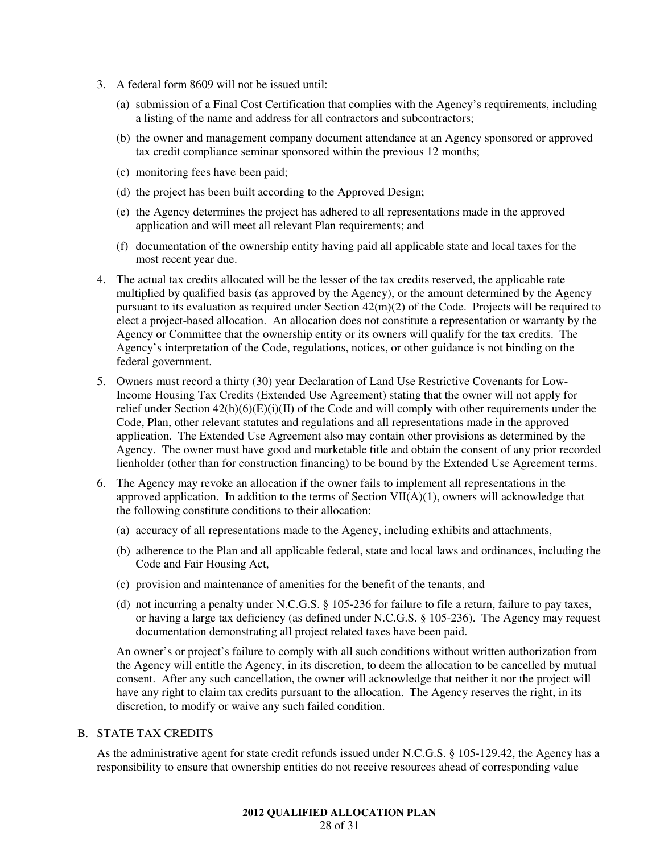- 3. A federal form 8609 will not be issued until:
	- (a) submission of a Final Cost Certification that complies with the Agency's requirements, including a listing of the name and address for all contractors and subcontractors;
	- (b) the owner and management company document attendance at an Agency sponsored or approved tax credit compliance seminar sponsored within the previous 12 months;
	- (c) monitoring fees have been paid;
	- (d) the project has been built according to the Approved Design;
	- (e) the Agency determines the project has adhered to all representations made in the approved application and will meet all relevant Plan requirements; and
	- (f) documentation of the ownership entity having paid all applicable state and local taxes for the most recent year due.
- 4. The actual tax credits allocated will be the lesser of the tax credits reserved, the applicable rate multiplied by qualified basis (as approved by the Agency), or the amount determined by the Agency pursuant to its evaluation as required under Section 42(m)(2) of the Code. Projects will be required to elect a project-based allocation. An allocation does not constitute a representation or warranty by the Agency or Committee that the ownership entity or its owners will qualify for the tax credits. The Agency's interpretation of the Code, regulations, notices, or other guidance is not binding on the federal government.
- 5. Owners must record a thirty (30) year Declaration of Land Use Restrictive Covenants for Low-Income Housing Tax Credits (Extended Use Agreement) stating that the owner will not apply for relief under Section 42(h)(6)(E)(i)(II) of the Code and will comply with other requirements under the Code, Plan, other relevant statutes and regulations and all representations made in the approved application. The Extended Use Agreement also may contain other provisions as determined by the Agency. The owner must have good and marketable title and obtain the consent of any prior recorded lienholder (other than for construction financing) to be bound by the Extended Use Agreement terms.
- 6. The Agency may revoke an allocation if the owner fails to implement all representations in the approved application. In addition to the terms of Section VII(A)(1), owners will acknowledge that the following constitute conditions to their allocation:
	- (a) accuracy of all representations made to the Agency, including exhibits and attachments,
	- (b) adherence to the Plan and all applicable federal, state and local laws and ordinances, including the Code and Fair Housing Act,
	- (c) provision and maintenance of amenities for the benefit of the tenants, and
	- (d) not incurring a penalty under N.C.G.S. § 105-236 for failure to file a return, failure to pay taxes, or having a large tax deficiency (as defined under N.C.G.S. § 105-236). The Agency may request documentation demonstrating all project related taxes have been paid.

An owner's or project's failure to comply with all such conditions without written authorization from the Agency will entitle the Agency, in its discretion, to deem the allocation to be cancelled by mutual consent. After any such cancellation, the owner will acknowledge that neither it nor the project will have any right to claim tax credits pursuant to the allocation. The Agency reserves the right, in its discretion, to modify or waive any such failed condition.

#### B. STATE TAX CREDITS

As the administrative agent for state credit refunds issued under N.C.G.S. § 105-129.42, the Agency has a responsibility to ensure that ownership entities do not receive resources ahead of corresponding value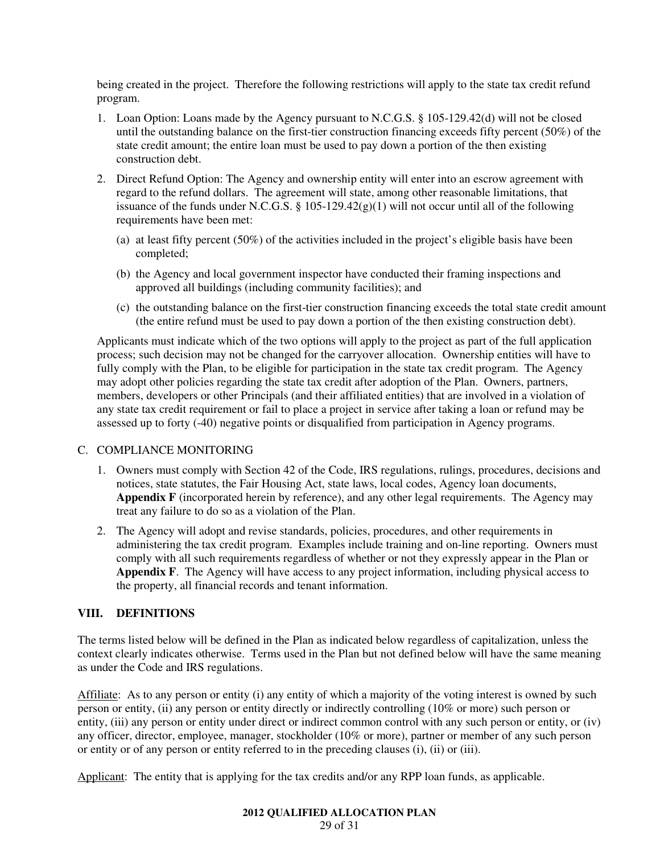being created in the project. Therefore the following restrictions will apply to the state tax credit refund program.

- 1. Loan Option: Loans made by the Agency pursuant to N.C.G.S. § 105-129.42(d) will not be closed until the outstanding balance on the first-tier construction financing exceeds fifty percent (50%) of the state credit amount; the entire loan must be used to pay down a portion of the then existing construction debt.
- 2. Direct Refund Option: The Agency and ownership entity will enter into an escrow agreement with regard to the refund dollars. The agreement will state, among other reasonable limitations, that issuance of the funds under N.C.G.S.  $\S$  105-129.42(g)(1) will not occur until all of the following requirements have been met:
	- (a) at least fifty percent (50%) of the activities included in the project's eligible basis have been completed;
	- (b) the Agency and local government inspector have conducted their framing inspections and approved all buildings (including community facilities); and
	- (c) the outstanding balance on the first-tier construction financing exceeds the total state credit amount (the entire refund must be used to pay down a portion of the then existing construction debt).

Applicants must indicate which of the two options will apply to the project as part of the full application process; such decision may not be changed for the carryover allocation. Ownership entities will have to fully comply with the Plan, to be eligible for participation in the state tax credit program. The Agency may adopt other policies regarding the state tax credit after adoption of the Plan. Owners, partners, members, developers or other Principals (and their affiliated entities) that are involved in a violation of any state tax credit requirement or fail to place a project in service after taking a loan or refund may be assessed up to forty (-40) negative points or disqualified from participation in Agency programs.

## C. COMPLIANCE MONITORING

- 1. Owners must comply with Section 42 of the Code, IRS regulations, rulings, procedures, decisions and notices, state statutes, the Fair Housing Act, state laws, local codes, Agency loan documents, Appendix F (incorporated herein by reference), and any other legal requirements. The Agency may treat any failure to do so as a violation of the Plan.
- 2. The Agency will adopt and revise standards, policies, procedures, and other requirements in administering the tax credit program. Examples include training and on-line reporting. Owners must comply with all such requirements regardless of whether or not they expressly appear in the Plan or **Appendix F**. The Agency will have access to any project information, including physical access to the property, all financial records and tenant information.

## **VIII. DEFINITIONS**

The terms listed below will be defined in the Plan as indicated below regardless of capitalization, unless the context clearly indicates otherwise. Terms used in the Plan but not defined below will have the same meaning as under the Code and IRS regulations.

Affiliate: As to any person or entity (i) any entity of which a majority of the voting interest is owned by such person or entity, (ii) any person or entity directly or indirectly controlling (10% or more) such person or entity, (iii) any person or entity under direct or indirect common control with any such person or entity, or (iv) any officer, director, employee, manager, stockholder (10% or more), partner or member of any such person or entity or of any person or entity referred to in the preceding clauses (i), (ii) or (iii).

Applicant: The entity that is applying for the tax credits and/or any RPP loan funds, as applicable.

## **2012 QUALIFIED ALLOCATION PLAN**

29 of 31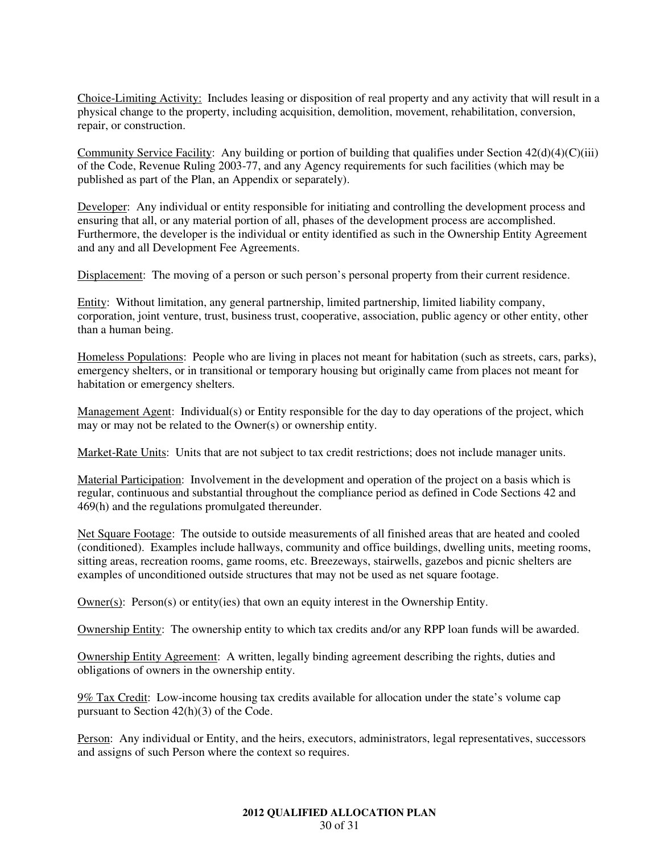Choice-Limiting Activity: Includes leasing or disposition of real property and any activity that will result in a physical change to the property, including acquisition, demolition, movement, rehabilitation, conversion, repair, or construction.

Community Service Facility: Any building or portion of building that qualifies under Section  $42(d)(4)(C)(iii)$ of the Code, Revenue Ruling 2003-77, and any Agency requirements for such facilities (which may be published as part of the Plan, an Appendix or separately).

Developer: Any individual or entity responsible for initiating and controlling the development process and ensuring that all, or any material portion of all, phases of the development process are accomplished. Furthermore, the developer is the individual or entity identified as such in the Ownership Entity Agreement and any and all Development Fee Agreements.

Displacement: The moving of a person or such person's personal property from their current residence.

Entity: Without limitation, any general partnership, limited partnership, limited liability company, corporation, joint venture, trust, business trust, cooperative, association, public agency or other entity, other than a human being.

Homeless Populations: People who are living in places not meant for habitation (such as streets, cars, parks), emergency shelters, or in transitional or temporary housing but originally came from places not meant for habitation or emergency shelters.

Management Agent: Individual(s) or Entity responsible for the day to day operations of the project, which may or may not be related to the Owner(s) or ownership entity.

Market-Rate Units: Units that are not subject to tax credit restrictions; does not include manager units.

Material Participation: Involvement in the development and operation of the project on a basis which is regular, continuous and substantial throughout the compliance period as defined in Code Sections 42 and 469(h) and the regulations promulgated thereunder.

Net Square Footage: The outside to outside measurements of all finished areas that are heated and cooled (conditioned). Examples include hallways, community and office buildings, dwelling units, meeting rooms, sitting areas, recreation rooms, game rooms, etc. Breezeways, stairwells, gazebos and picnic shelters are examples of unconditioned outside structures that may not be used as net square footage.

Owner(s): Person(s) or entity(ies) that own an equity interest in the Ownership Entity.

Ownership Entity: The ownership entity to which tax credits and/or any RPP loan funds will be awarded.

Ownership Entity Agreement: A written, legally binding agreement describing the rights, duties and obligations of owners in the ownership entity.

9% Tax Credit: Low-income housing tax credits available for allocation under the state's volume cap pursuant to Section 42(h)(3) of the Code.

Person: Any individual or Entity, and the heirs, executors, administrators, legal representatives, successors and assigns of such Person where the context so requires.